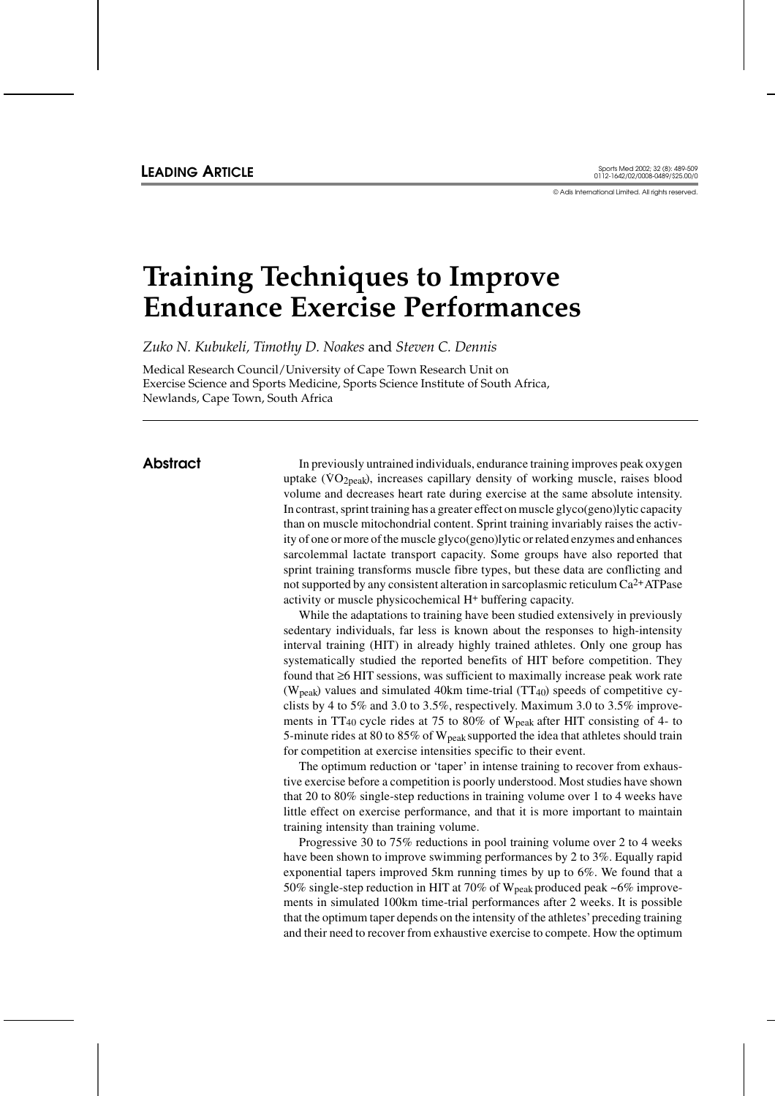© Adis International Limited. All rights reserved.

# **Training Techniques to Improve Endurance Exercise Performances**

*Zuko N. Kubukeli, Timothy D. Noakes* and *Steven C. Dennis*

Medical Research Council/University of Cape Town Research Unit on Exercise Science and Sports Medicine, Sports Science Institute of South Africa, Newlands, Cape Town, South Africa

**Abstract** In previously untrained individuals, endurance training improves peak oxygen In previously untained marviolates, endirated daming improves peak oxygen<br>uptake (VO<sub>2peak</sub>), increases capillary density of working muscle, raises blood volume and decreases heart rate during exercise at the same absolute intensity. In contrast, sprint training has a greater effect on muscle glyco(geno)lytic capacity than on muscle mitochondrial content. Sprint training invariably raises the activity of one or more of the muscle glyco(geno)lytic or related enzymes and enhances sarcolemmal lactate transport capacity. Some groups have also reported that sprint training transforms muscle fibre types, but these data are conflicting and not supported by any consistent alteration in sarcoplasmic reticulum Ca2+ATPase activity or muscle physicochemical H+ buffering capacity.

> While the adaptations to training have been studied extensively in previously sedentary individuals, far less is known about the responses to high-intensity interval training (HIT) in already highly trained athletes. Only one group has systematically studied the reported benefits of HIT before competition. They found that ≥6 HIT sessions, was sufficient to maximally increase peak work rate ( $W<sub>peak</sub>$ ) values and simulated 40km time-trial (TT<sub>40</sub>) speeds of competitive cyclists by 4 to 5% and 3.0 to 3.5%, respectively. Maximum 3.0 to 3.5% improvements in TT40 cycle rides at 75 to 80% of Wpeak after HIT consisting of 4- to 5-minute rides at 80 to 85% of  $W_{peak}$  supported the idea that athletes should train for competition at exercise intensities specific to their event.

> The optimum reduction or 'taper' in intense training to recover from exhaustive exercise before a competition is poorly understood. Most studies have shown that 20 to 80% single-step reductions in training volume over 1 to 4 weeks have little effect on exercise performance, and that it is more important to maintain training intensity than training volume.

> Progressive 30 to 75% reductions in pool training volume over 2 to 4 weeks have been shown to improve swimming performances by 2 to 3%. Equally rapid exponential tapers improved 5km running times by up to 6%. We found that a 50% single-step reduction in HIT at 70% of  $W_{peak}$  produced peak ~6% improvements in simulated 100km time-trial performances after 2 weeks. It is possible that the optimum taper depends on the intensity of the athletes'preceding training and their need to recover from exhaustive exercise to compete. How the optimum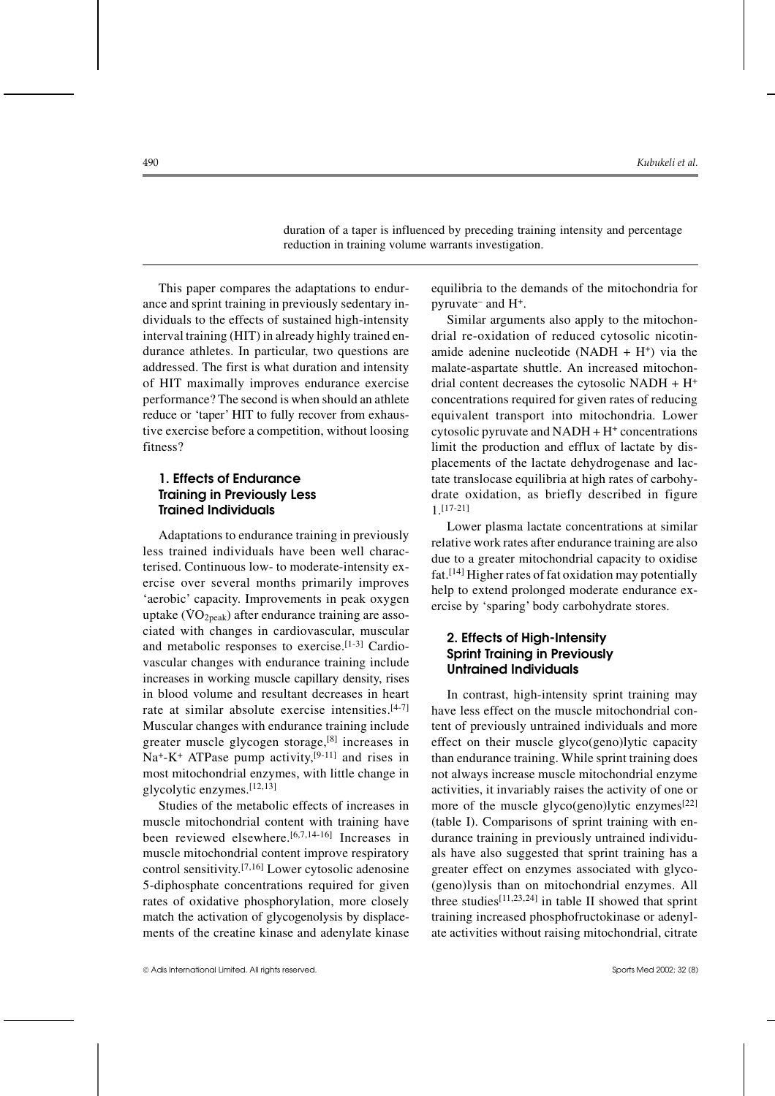duration of a taper is influenced by preceding training intensity and percentage reduction in training volume warrants investigation.

This paper compares the adaptations to endurance and sprint training in previously sedentary individuals to the effects of sustained high-intensity interval training (HIT) in already highly trained endurance athletes. In particular, two questions are addressed. The first is what duration and intensity of HIT maximally improves endurance exercise performance? The second is when should an athlete reduce or 'taper' HIT to fully recover from exhaustive exercise before a competition, without loosing fitness?

# **1. Effects of Endurance Training in Previously Less Trained Individuals**

Adaptations to endurance training in previously less trained individuals have been well characterised. Continuous low- to moderate-intensity exercise over several months primarily improves 'aerobic' capacity. Improvements in peak oxygen deroole explicity. Improvements in peak  $\alpha$ ygen uptake ( $\rm{VO_{2peak}}$ ) after endurance training are associated with changes in cardiovascular, muscular and metabolic responses to exercise.[1-3] Cardiovascular changes with endurance training include increases in working muscle capillary density, rises in blood volume and resultant decreases in heart rate at similar absolute exercise intensities.[4-7] Muscular changes with endurance training include greater muscle glycogen storage,[8] increases in  $Na^+$ -K<sup>+</sup> ATPase pump activity,<sup>[9-11]</sup> and rises in most mitochondrial enzymes, with little change in glycolytic enzymes.[12,13]

Studies of the metabolic effects of increases in muscle mitochondrial content with training have been reviewed elsewhere.<sup>[6,7,14-16]</sup> Increases in muscle mitochondrial content improve respiratory control sensitivity.<sup>[7,16]</sup> Lower cytosolic adenosine 5-diphosphate concentrations required for given rates of oxidative phosphorylation, more closely match the activation of glycogenolysis by displacements of the creatine kinase and adenylate kinase

equilibria to the demands of the mitochondria for pyruvate– and H+.

Similar arguments also apply to the mitochondrial re-oxidation of reduced cytosolic nicotinamide adenine nucleotide (NADH  $+$  H<sup>+</sup>) via the malate-aspartate shuttle. An increased mitochondrial content decreases the cytosolic NADH +  $H^+$ concentrations required for given rates of reducing equivalent transport into mitochondria. Lower cytosolic pyruvate and  $NADH + H^+$  concentrations limit the production and efflux of lactate by displacements of the lactate dehydrogenase and lactate translocase equilibria at high rates of carbohydrate oxidation, as briefly described in figure 1.[17-21]

Lower plasma lactate concentrations at similar relative work rates after endurance training are also due to a greater mitochondrial capacity to oxidise fat.[14] Higher rates of fat oxidation may potentially help to extend prolonged moderate endurance exercise by 'sparing' body carbohydrate stores.

## **2. Effects of High-Intensity Sprint Training in Previously Untrained Individuals**

In contrast, high-intensity sprint training may have less effect on the muscle mitochondrial content of previously untrained individuals and more effect on their muscle glyco(geno)lytic capacity than endurance training. While sprint training does not always increase muscle mitochondrial enzyme activities, it invariably raises the activity of one or more of the muscle glyco(geno)lytic enzymes $[22]$ (table I). Comparisons of sprint training with endurance training in previously untrained individuals have also suggested that sprint training has a greater effect on enzymes associated with glyco- (geno)lysis than on mitochondrial enzymes. All three studies<sup>[11,23,24]</sup> in table II showed that sprint training increased phosphofructokinase or adenylate activities without raising mitochondrial, citrate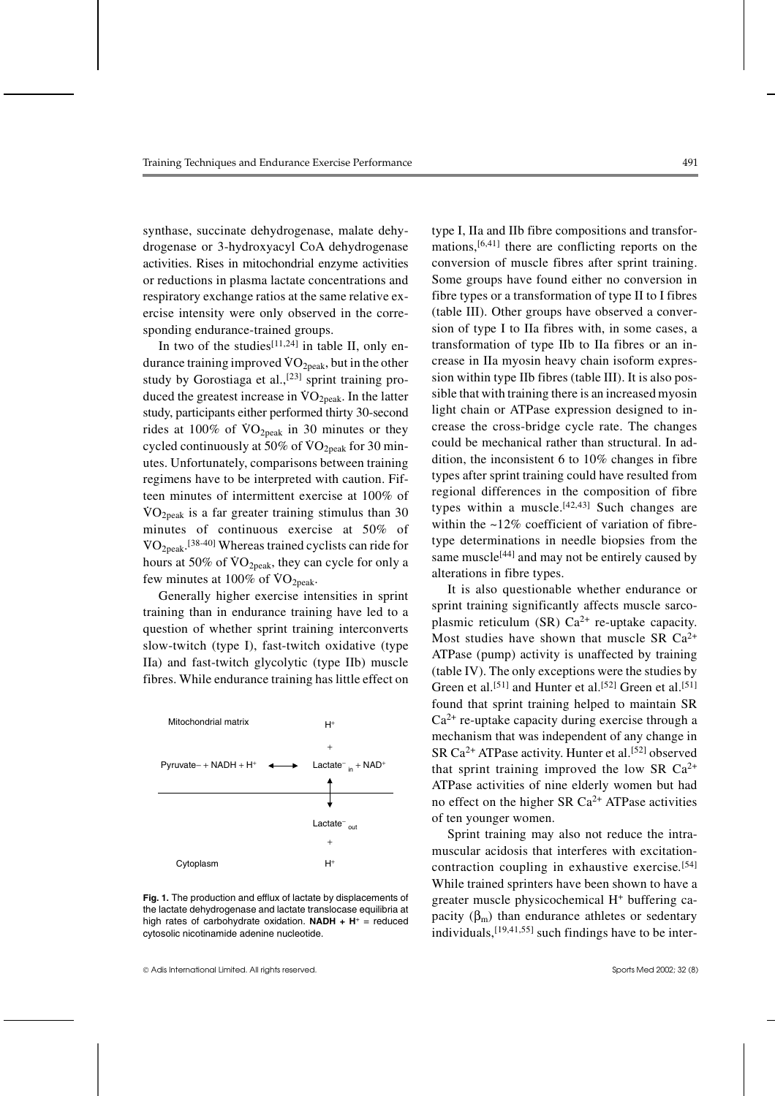synthase, succinate dehydrogenase, malate dehydrogenase or 3-hydroxyacyl CoA dehydrogenase activities. Rises in mitochondrial enzyme activities or reductions in plasma lactate concentrations and respiratory exchange ratios at the same relative exercise intensity were only observed in the corresponding endurance-trained groups.

In two of the studies<sup>[11,24]</sup> in table II, only endurance training improved  $\sqrt[3]{O_{2\text{peak}}}$ , but in the other study by Gorostiaga et al.,<sup>[23]</sup> sprint training produced the greatest increase in  $\text{VO}_{2\text{peak}}$ . In the latter study, participants either performed thirty 30-second rides at  $100\%$  of  $\text{VO}_{2\text{peak}}$  in 30 minutes or they cycled continuously at  $50\%$  of  $\rm{VO}_{2peak}$  for 30 minutes. Unfortunately, comparisons between training regimens have to be interpreted with caution. Fifteen minutes of intermittent exercise at 100% of  $\rm{VO_{2peak}}$  is a far greater training stimulus than 30 minutes of continuous exercise at 50% of  $\rm WO_{2peak}.$ <sup>[38-40]</sup> Whereas trained cyclists can ride for hours at  $50\%$  of  $\text{VO}_{2\text{peak}}$ , they can cycle for only a few minutes at  $100\%$  of  $\rm \dot{VO}_{2peak}$ .

Generally higher exercise intensities in sprint training than in endurance training have led to a question of whether sprint training interconverts slow-twitch (type I), fast-twitch oxidative (type IIa) and fast-twitch glycolytic (type IIb) muscle fibres. While endurance training has little effect on



**Fig. 1.** The production and efflux of lactate by displacements of the lactate dehydrogenase and lactate translocase equilibria at high rates of carbohydrate oxidation. **NADH + H**<sup>+</sup> = reduced cytosolic nicotinamide adenine nucleotide.

type I, IIa and IIb fibre compositions and transformations, $[6,41]$  there are conflicting reports on the conversion of muscle fibres after sprint training. Some groups have found either no conversion in fibre types or a transformation of type II to I fibres (table III). Other groups have observed a conversion of type I to IIa fibres with, in some cases, a transformation of type IIb to IIa fibres or an increase in IIa myosin heavy chain isoform expression within type IIb fibres (table III). It is also possible that with training there is an increased myosin light chain or ATPase expression designed to increase the cross-bridge cycle rate. The changes could be mechanical rather than structural. In addition, the inconsistent 6 to 10% changes in fibre types after sprint training could have resulted from regional differences in the composition of fibre types within a muscle.<sup>[42,43]</sup> Such changes are within the  $\sim$ 12% coefficient of variation of fibretype determinations in needle biopsies from the same muscle<sup>[44]</sup> and may not be entirely caused by alterations in fibre types.

It is also questionable whether endurance or sprint training significantly affects muscle sarcoplasmic reticulum (SR)  $Ca^{2+}$  re-uptake capacity. Most studies have shown that muscle SR  $Ca^{2+}$ ATPase (pump) activity is unaffected by training (table IV). The only exceptions were the studies by Green et al.<sup>[51]</sup> and Hunter et al.<sup>[52]</sup> Green et al.<sup>[51]</sup> found that sprint training helped to maintain SR  $Ca^{2+}$  re-uptake capacity during exercise through a mechanism that was independent of any change in SR  $Ca^{2+}$  ATPase activity. Hunter et al.<sup>[52]</sup> observed that sprint training improved the low SR  $Ca^{2+}$ ATPase activities of nine elderly women but had no effect on the higher SR  $Ca^{2+}$  ATPase activities of ten younger women.

Sprint training may also not reduce the intramuscular acidosis that interferes with excitationcontraction coupling in exhaustive exercise*.* [54] While trained sprinters have been shown to have a greater muscle physicochemical H+ buffering capacity  $(\beta_m)$  than endurance athletes or sedentary individuals,  $[19,41,55]$  such findings have to be inter-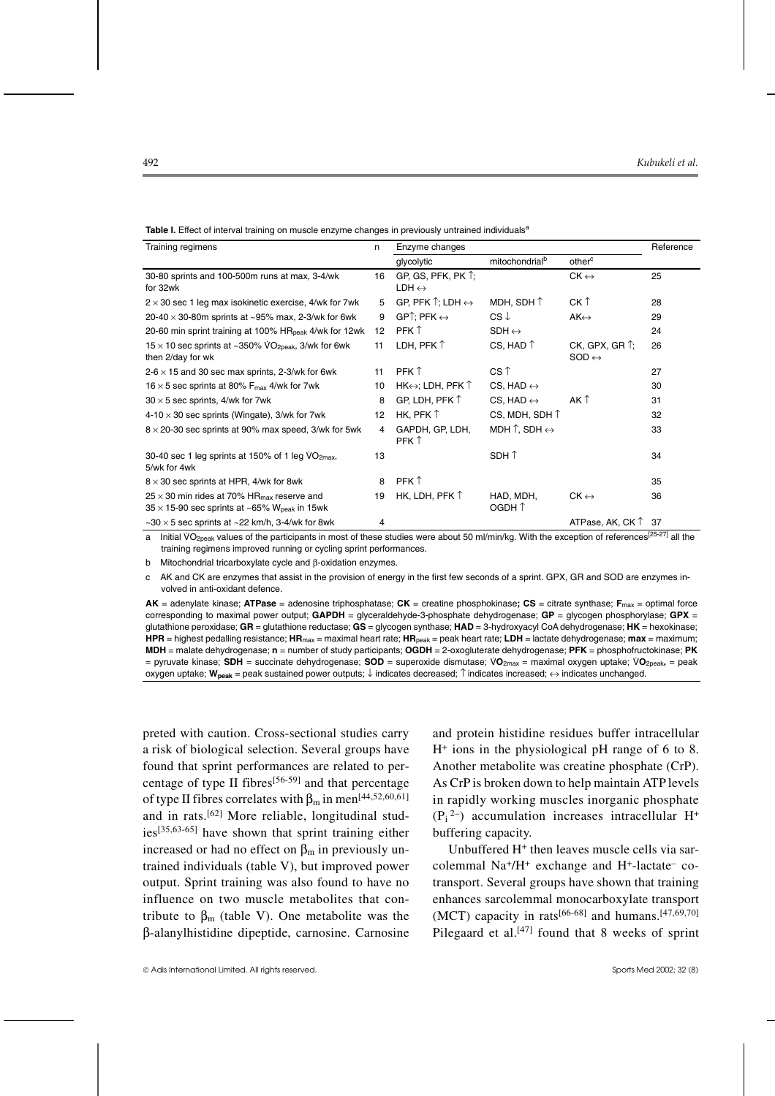| Training regimens                                                                                                                  | n  | Enzyme changes                                        |                                        |                                                      | Reference |
|------------------------------------------------------------------------------------------------------------------------------------|----|-------------------------------------------------------|----------------------------------------|------------------------------------------------------|-----------|
|                                                                                                                                    |    | glycolytic                                            | mitochondrial <sup>b</sup>             | other <sup>c</sup>                                   |           |
| 30-80 sprints and 100-500m runs at max, 3-4/wk<br>for 32wk                                                                         | 16 | GP, GS, PFK, PK $\uparrow$ ;<br>$LDH \leftrightarrow$ |                                        | $CK \leftrightarrow$                                 | 25        |
| $2 \times 30$ sec 1 leg max isokinetic exercise, 4/wk for 7wk                                                                      | 5  | GP, PFK $\uparrow$ : LDH $\leftrightarrow$            | MDH, SDH $\uparrow$                    | CK T                                                 | 28        |
| 20-40 $\times$ 30-80m sprints at ~95% max, 2-3/wk for 6wk                                                                          | 9  | $GP$ : PFK $\leftrightarrow$                          | $CS \downarrow$                        | $AK \leftrightarrow$                                 | 29        |
| 20-60 min sprint training at 100% HR <sub>peak</sub> 4/wk for 12wk                                                                 | 12 | PFK 1                                                 | $SDH \leftrightarrow$                  |                                                      | 24        |
| $15 \times 10$ sec sprints at ~350% VO <sub>2peak</sub> , 3/wk for 6wk<br>then 2/day for wk                                        | 11 | LDH, PFK $\uparrow$                                   | CS, HAD $\uparrow$                     | $CK$ , GPX, GR $\uparrow$ ;<br>$SOD \leftrightarrow$ | 26        |
| $2-6 \times 15$ and 30 sec max sprints, 2-3/wk for 6wk                                                                             | 11 | PFK 1                                                 | CS T                                   |                                                      | 27        |
| 16 $\times$ 5 sec sprints at 80% F <sub>max</sub> 4/wk for 7wk                                                                     | 10 | $HK \leftrightarrow$ : LDH, PFK $\uparrow$            | CS, HAD $\leftrightarrow$              |                                                      | 30        |
| $30 \times 5$ sec sprints, 4/wk for 7wk                                                                                            | 8  | GP, LDH, PFK $\uparrow$                               | CS, HAD $\leftrightarrow$              | AK T                                                 | 31        |
| $4-10 \times 30$ sec sprints (Wingate), 3/wk for 7wk                                                                               | 12 | HK, PFK $\uparrow$                                    | CS, MDH, SDH 1                         |                                                      | 32        |
| $8 \times 20$ -30 sec sprints at 90% max speed, 3/wk for 5wk                                                                       | 4  | GAPDH, GP, LDH,<br>PFK 1                              | MDH $\uparrow$ , SDH $\leftrightarrow$ |                                                      | 33        |
| 30-40 sec 1 leg sprints at 150% of 1 leg VO2max,<br>5/wk for 4wk                                                                   | 13 |                                                       | SDH 1                                  |                                                      | 34        |
| $8 \times 30$ sec sprints at HPR, 4/wk for 8wk                                                                                     | 8  | PFK 1                                                 |                                        |                                                      | 35        |
| $25 \times 30$ min rides at 70% HR $_{\text{max}}$ reserve and<br>$35 \times 15$ -90 sec sprints at ~65% W <sub>peak</sub> in 15wk | 19 | HK, LDH, PFK $\uparrow$                               | HAD, MDH,<br>OGDH 1                    | $CK \leftrightarrow$                                 | 36        |
| $\sim$ 30 $\times$ 5 sec sprints at $\sim$ 22 km/h, 3-4/wk for 8wk                                                                 | 4  |                                                       |                                        | ATPase, AK, CK $\uparrow$ 37                         |           |

**Table I.** Effect of interval training on muscle enzyme changes in previously untrained individuals<sup>a</sup>

a Initial VO<sub>2peak</sub> values of the participants in most of these studies were about 50 ml/min/kg. With the exception of references<sup>[25-27]</sup> all the training regimens improved running or cycling sprint performances.

b Mitochondrial tricarboxylate cycle and β-oxidation enzymes.

c AK and CK are enzymes that assist in the provision of energy in the first few seconds of a sprint. GPX, GR and SOD are enzymes involved in anti-oxidant defence.

**AK** = adenylate kinase; **ATPase** = adenosine triphosphatase; **CK** = creatine phosphokinase**; CS** = citrate synthase; **F**max = optimal force corresponding to maximal power output; **GAPDH** = glyceraldehyde-3-phosphate dehydrogenase; **GP** = glycogen phosphorylase; **GPX** = glutathione peroxidase; **GR** = glutathione reductase; **GS** = glycogen synthase; **HAD** = 3-hydroxyacyl CoA dehydrogenase; **HK** = hexokinase; **HPR** = highest pedalling resistance; **HR**max = maximal heart rate; **HR**peak = peak heart rate; **LDH** = lactate dehydrogenase; **max** = maximum; **MDH** = malate dehydrogenase; **n** = number of study participants; **OGDH** = 2-oxogluterate dehydrogenase; **PFK** = phosphofructokinase; **PK** = pyruvate kinase; **SDH** = succinate dehydrogenase; **SOD** = superoxide dismutase; V. **<sup>O</sup>**2max = maximal oxygen uptake; V. **O**2peak**,** = peak oxygen uptake; **Wpeak** = peak sustained power outputs; ↓ indicates decreased; ↑ indicates increased; ↔ indicates unchanged.

preted with caution. Cross-sectional studies carry a risk of biological selection. Several groups have found that sprint performances are related to percentage of type II fibres<sup>[56-59]</sup> and that percentage of type II fibres correlates with  $\beta_m$  in men<sup>[44,52,60,61]</sup> and in rats.[62] More reliable, longitudinal studies[35,63-65] have shown that sprint training either increased or had no effect on  $\beta_m$  in previously untrained individuals (table V), but improved power output. Sprint training was also found to have no influence on two muscle metabolites that contribute to  $β<sub>m</sub>$  (table V). One metabolite was the β-alanylhistidine dipeptide, carnosine. Carnosine

and protein histidine residues buffer intracellular  $H<sup>+</sup>$  ions in the physiological pH range of 6 to 8. Another metabolite was creatine phosphate (CrP). As CrP is broken down to help maintain ATP levels in rapidly working muscles inorganic phosphate  $(P_i^2)$  accumulation increases intracellular H<sup>+</sup> buffering capacity.

Unbuffered H+ then leaves muscle cells via sarcolemmal  $Na^+/H^+$  exchange and  $H^+$ -lactate<sup>-</sup> cotransport. Several groups have shown that training enhances sarcolemmal monocarboxylate transport (MCT) capacity in rats<sup>[66-68]</sup> and humans.<sup>[47,69,70]</sup> Pilegaard et al. $[47]$  found that 8 weeks of sprint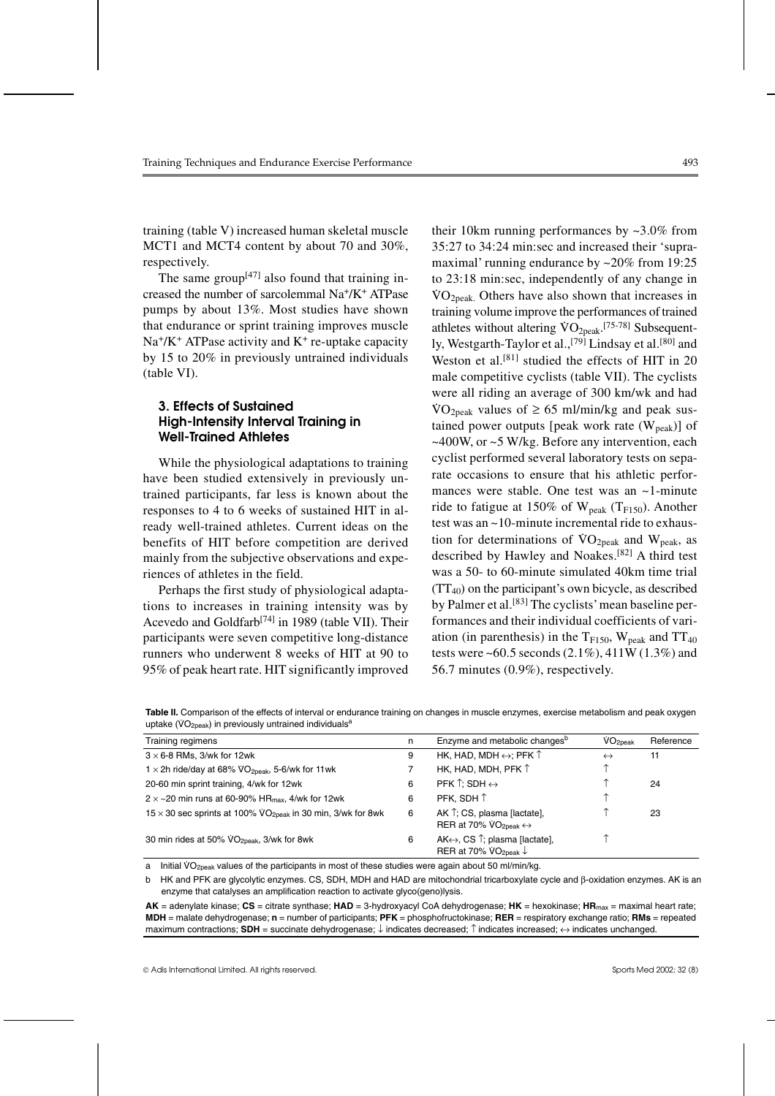training (table V) increased human skeletal muscle MCT1 and MCT4 content by about 70 and 30%, respectively.

The same group<sup>[47]</sup> also found that training increased the number of sarcolemmal Na+/K+ ATPase pumps by about 13%. Most studies have shown that endurance or sprint training improves muscle  $Na<sup>+</sup>/K<sup>+</sup> ATPase activity and K<sup>+</sup> re-uptake capacity$ by 15 to 20% in previously untrained individuals (table VI).

## **3. Effects of Sustained High-Intensity Interval Training in Well-Trained Athletes**

While the physiological adaptations to training have been studied extensively in previously untrained participants, far less is known about the responses to 4 to 6 weeks of sustained HIT in already well-trained athletes. Current ideas on the benefits of HIT before competition are derived mainly from the subjective observations and experiences of athletes in the field.

Perhaps the first study of physiological adaptations to increases in training intensity was by Acevedo and Goldfarb<sup>[74]</sup> in 1989 (table VII). Their participants were seven competitive long-distance runners who underwent 8 weeks of HIT at 90 to 95% of peak heart rate. HIT significantly improved

their 10km running performances by  $\approx 3.0\%$  from 35:27 to 34:24 min:sec and increased their 'supramaximal' running endurance by ~20% from 19:25 to 23:18 min:sec, independently of any change in  $\sqrt[3]{O_{2\text{peak}}}$ . Others have also shown that increases in training volume improve the performances of trained athletes without altering  $\text{VO}_{2\text{peak}}$ . [75-78] Subsequently, Westgarth-Taylor et al.,<sup>[79]</sup> Lindsay et al.<sup>[80]</sup> and Weston et al.<sup>[81]</sup> studied the effects of HIT in 20 male competitive cyclists (table VII). The cyclists were all riding an average of 300 km/wk and had  $\text{VO}_{2\text{peak}}$  values of  $\geq 65$  ml/min/kg and peak sustained power outputs [peak work rate  $(W_{peak})$ ] of  $\sim$  400W, or  $\sim$  5 W/kg. Before any intervention, each cyclist performed several laboratory tests on separate occasions to ensure that his athletic performances were stable. One test was an ~1-minute ride to fatigue at 150% of  $W_{peak}$  (T<sub>F150</sub>). Another test was an ~10-minute incremental ride to exhaustion for determinations of  $VO_{2peak}$  and  $W_{peak}$ , as described by Hawley and Noakes.[82] A third test was a 50- to 60-minute simulated 40km time trial  $(TT_{40})$  on the participant's own bicycle, as described by Palmer et al.<sup>[83]</sup> The cyclists' mean baseline performances and their individual coefficients of variation (in parenthesis) in the  $T_{F150}$ , W<sub>peak</sub> and  $TT_{40}$ tests were ~60.5 seconds  $(2.1\%)$ , 411W  $(1.3\%)$  and 56.7 minutes (0.9%), respectively.

Table II. Comparison of the effects of interval or endurance training on changes in muscle enzymes, exercise metabolism and peak oxygen rable in companion of the chock of interval of order<br>uptake (VO<sub>2peak</sub>) in previously untrained individuals<sup>a</sup>

| Training regimens                                                                    | n | Enzyme and metabolic changes <sup>b</sup>                                           | $\rm\dot{VO}_{2peak}$ | Reference |
|--------------------------------------------------------------------------------------|---|-------------------------------------------------------------------------------------|-----------------------|-----------|
| $3 \times 6$ -8 RMs, 3/wk for 12wk                                                   | 9 | HK, HAD, MDH $\leftrightarrow$ ; PFK $\uparrow$                                     | $\leftrightarrow$     | 11        |
| 1 $\times$ 2h ride/day at 68% VO <sub>2peak</sub> , 5-6/wk for 11wk                  |   | HK, HAD, MDH, PFK $\uparrow$                                                        |                       |           |
| 20-60 min sprint training, 4/wk for 12wk                                             | 6 | PFK $\uparrow$ : SDH $\leftrightarrow$                                              |                       | 24        |
| $2 \times \sim 20$ min runs at 60-90% HR <sub>max</sub> , 4/wk for 12wk              | 6 | PFK. SDH 1                                                                          |                       |           |
| $15 \times 30$ sec sprints at 100% $\sqrt{O_{2\text{peak}}}$ in 30 min, 3/wk for 8wk | 6 | AK 1; CS, plasma [lactate],<br>RER at 70% $VO_{2peak} \leftrightarrow$              |                       | 23        |
| 30 min rides at 50% VO <sub>2peak</sub> , 3/wk for 8wk                               | 6 | $AK \leftrightarrow$ , CS $\uparrow$ ; plasma [lactate],<br>RER at 70% $VO_{2peak}$ |                       |           |

a lnitial VO<sub>2peak</sub> values of the participants in most of these studies were again about 50 ml/min/kg.

b HK and PFK are glycolytic enzymes. CS, SDH, MDH and HAD are mitochondrial tricarboxylate cycle and β-oxidation enzymes. AK is an enzyme that catalyses an amplification reaction to activate glyco(geno)lysis.

**AK** = adenylate kinase; **CS** = citrate synthase; **HAD** = 3-hydroxyacyl CoA dehydrogenase; **HK** = hexokinase; **HR**max = maximal heart rate; **MDH** = malate dehydrogenase; **n** = number of participants; **PFK** = phosphofructokinase; **RER** = respiratory exchange ratio; **RMs** = repeated maximum contractions; **SDH** = succinate dehydrogenase; ↓ indicates decreased; ↑ indicates increased; ↔ indicates unchanged.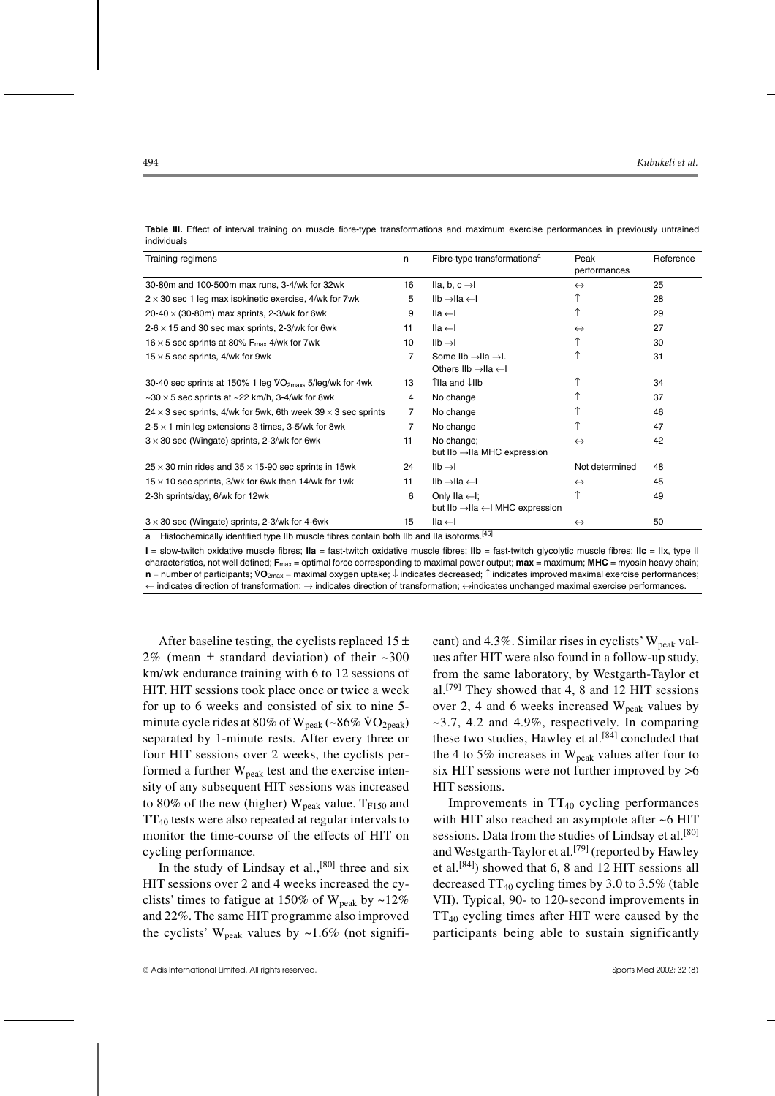| 11 1 Y 1 Y 1 Y 1 Y 1 Y 1 Y                                                  |                |                                                                     |                   |           |
|-----------------------------------------------------------------------------|----------------|---------------------------------------------------------------------|-------------------|-----------|
| Training regimens                                                           | n              | Fibre-type transformations <sup>a</sup>                             | Peak              | Reference |
|                                                                             |                |                                                                     | performances      |           |
| 30-80m and 100-500m max runs, 3-4/wk for 32wk                               | 16             | $lla, b, c \rightarrow l$                                           | $\leftrightarrow$ | 25        |
| $2 \times 30$ sec 1 leg max isokinetic exercise, 4/wk for 7wk               | 5              | $\mathsf{IIb} \rightarrow \mathsf{IIa} \leftarrow \mathsf{I}$       |                   | 28        |
| 20-40 $\times$ (30-80m) max sprints, 2-3/wk for 6wk                         | 9              | $lla \leftarrow$                                                    |                   | 29        |
| $2-6 \times 15$ and 30 sec max sprints, 2-3/wk for 6wk                      | 11             | $lla \leftarrow I$                                                  | $\leftrightarrow$ | 27        |
| 16 $\times$ 5 sec sprints at 80% F <sub>max</sub> 4/wk for 7wk              | 10             | $Ilb \rightarrow l$                                                 |                   | 30        |
| $15 \times 5$ sec sprints, 4/wk for 9wk                                     | 7              | Some $IIb \rightarrow IIa \rightarrow I$ .                          |                   | 31        |
|                                                                             |                | Others IIb $\rightarrow$ IIa $\leftarrow$ I                         |                   |           |
| 30-40 sec sprints at 150% 1 leg $VO_{2max}$ , 5/leg/wk for 4wk              | 13             | 1la and ↓IIb                                                        |                   | 34        |
| $\sim$ 30 $\times$ 5 sec sprints at $\sim$ 22 km/h, 3-4/wk for 8wk          | 4              | No change                                                           |                   | 37        |
| $24 \times 3$ sec sprints, 4/wk for 5wk, 6th week 39 $\times$ 3 sec sprints | $\overline{7}$ | No change                                                           |                   | 46        |
| $2-5 \times 1$ min leg extensions 3 times, 3-5/wk for 8wk                   | $\overline{7}$ | No change                                                           |                   | 47        |
| $3 \times 30$ sec (Wingate) sprints, 2-3/wk for 6wk                         | 11             | No change;                                                          | $\leftrightarrow$ | 42        |
|                                                                             |                | but IIb →IIa MHC expression                                         |                   |           |
| $25 \times 30$ min rides and $35 \times 15$ -90 sec sprints in 15wk         | 24             | $Ilb \rightarrow l$                                                 | Not determined    | 48        |
| $15 \times 10$ sec sprints, 3/wk for 6wk then 14/wk for 1wk                 | 11             | $\mathsf{II}\mathsf{b}\to\mathsf{II}\mathsf{a}\leftarrow\mathsf{I}$ | $\leftrightarrow$ | 45        |
| 2-3h sprints/day, 6/wk for 12wk                                             | 6              | Only IIa $\leftarrow$ I;                                            |                   | 49        |
|                                                                             |                | but IIb $\rightarrow$ IIa $\leftarrow$ I MHC expression             |                   |           |
| $3 \times 30$ sec (Wingate) sprints, 2-3/wk for 4-6wk                       | 15             | IIa ←I                                                              | $\leftrightarrow$ | 50        |
|                                                                             | .              | [45]                                                                |                   |           |

**Table III.** Effect of interval training on muscle fibre-type transformations and maximum exercise performances in previously untrained individuals

a Histochemically identified type IIb muscle fibres contain both IIb and IIa isoforms.<sup>[45]</sup>

**I** = slow-twitch oxidative muscle fibres; **IIa** = fast-twitch oxidative muscle fibres; **IIb** = fast-twitch glycolytic muscle fibres; **IIc** = IIx, type II characteristics, not well defined; F<sub>max</sub> = optimal force corresponding to maximal power output; max = maximum; MHC = myosin heavy chain; **n** = number of participants; VO<sub>2max</sub> = maximal oxygen uptake; ↓ indicates decreased; ↑ indicates improved maximal exercise performances; not worker and a service and a service performances; NO<sub>2max</sub> = maximal oxygen upt ← indicates direction of transformation; → indicates direction of transformation; ↔indicates unchanged maximal exercise performances.

After baseline testing, the cyclists replaced  $15 \pm$ 2% (mean  $\pm$  standard deviation) of their  $\approx 300$ km/wk endurance training with 6 to 12 sessions of HIT. HIT sessions took place once or twice a week for up to 6 weeks and consisted of six to nine 5 minute cycle rides at 80% of  $W_{peak}$  (~86%  $VO_{2peak}$ ) separated by 1-minute rests. After every three or four HIT sessions over 2 weeks, the cyclists performed a further  $W_{peak}$  test and the exercise intensity of any subsequent HIT sessions was increased to 80% of the new (higher)  $W_{peak}$  value.  $T_{F150}$  and  $TT_{40}$  tests were also repeated at regular intervals to monitor the time-course of the effects of HIT on cycling performance.

In the study of Lindsay et al., $[80]$  three and six HIT sessions over 2 and 4 weeks increased the cyclists' times to fatigue at 150% of  $W_{\text{peak}}$  by ~12% and 22%. The same HIT programme also improved the cyclists' W<sub>peak</sub> values by  $\sim$ 1.6% (not significant) and 4.3%. Similar rises in cyclists'  $W_{\text{peak}}$  values after HIT were also found in a follow-up study, from the same laboratory, by Westgarth-Taylor et al.[79] They showed that 4, 8 and 12 HIT sessions over 2, 4 and 6 weeks increased  $W_{peak}$  values by  $\sim$ 3.7, 4.2 and 4.9%, respectively. In comparing these two studies, Hawley et al. $[84]$  concluded that the 4 to 5% increases in  $W_{peak}$  values after four to six HIT sessions were not further improved by >6 HIT sessions.

Improvements in  $TT_{40}$  cycling performances with HIT also reached an asymptote after ~6 HIT sessions. Data from the studies of Lindsay et al.<sup>[80]</sup> and Westgarth-Taylor et al.<sup>[79]</sup> (reported by Hawley et al.[84]) showed that 6, 8 and 12 HIT sessions all decreased  $TT_{40}$  cycling times by 3.0 to 3.5% (table VII). Typical, 90- to 120-second improvements in  $TT_{40}$  cycling times after HIT were caused by the participants being able to sustain significantly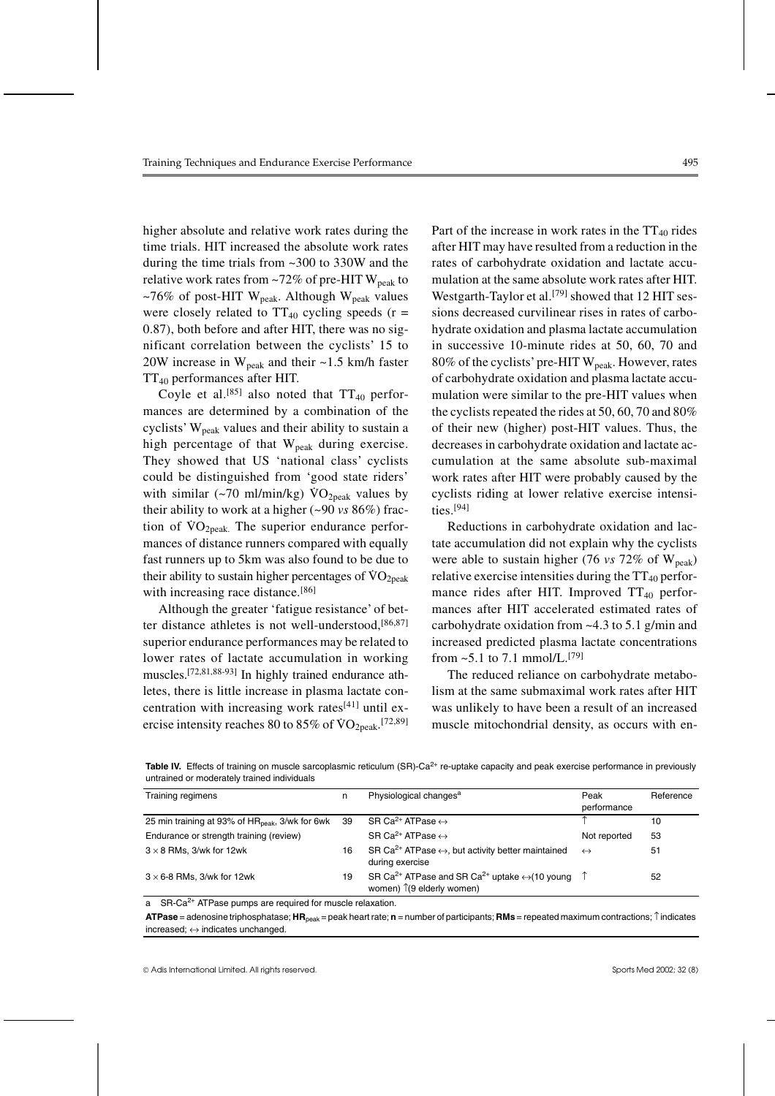higher absolute and relative work rates during the time trials. HIT increased the absolute work rates during the time trials from ~300 to 330W and the relative work rates from  $\sim 72\%$  of pre-HIT W<sub>peak</sub> to ~76% of post-HIT W<sub>peak</sub>. Although W<sub>peak</sub> values were closely related to  $TT_{40}$  cycling speeds (r = 0.87), both before and after HIT, there was no significant correlation between the cyclists' 15 to 20W increase in  $W_{peak}$  and their ~1.5 km/h faster TT40 performances after HIT.

Coyle et al.<sup>[85]</sup> also noted that  $TT_{40}$  performances are determined by a combination of the cyclists'  $W_{peak}$  values and their ability to sustain a high percentage of that  $W_{peak}$  during exercise. They showed that US 'national class' cyclists could be distinguished from 'good state riders' with similar  $(\sim 70 \text{ ml/min/kg})$   $\rm VO_{2peak}$  values by their ability to work at a higher (~90 *vs* 86%) fraction of  $VO_{2peak}$ . The superior endurance performances of distance runners compared with equally fast runners up to 5km was also found to be due to their ability to sustain higher percentages of  $\rm{VO}_{2peak}$ with increasing race distance.<sup>[86]</sup>

Although the greater 'fatigue resistance' of better distance athletes is not well-understood,<sup>[86,87]</sup> superior endurance performances may be related to lower rates of lactate accumulation in working muscles.[72,81,88-93] In highly trained endurance athletes, there is little increase in plasma lactate concentration with increasing work rates<sup>[41]</sup> until exercise intensity reaches 80 to  $85\%$  of  $VO<sub>2peak</sub>$ .<sup>[72,89]</sup>

Part of the increase in work rates in the  $TT_{40}$  rides after HIT may have resulted from a reduction in the rates of carbohydrate oxidation and lactate accumulation at the same absolute work rates after HIT. Westgarth-Taylor et al.<sup>[79]</sup> showed that 12 HIT sessions decreased curvilinear rises in rates of carbohydrate oxidation and plasma lactate accumulation in successive 10-minute rides at 50, 60, 70 and 80% of the cyclists' pre-HIT  $W_{peak}$ . However, rates of carbohydrate oxidation and plasma lactate accumulation were similar to the pre-HIT values when the cyclists repeated the rides at 50, 60, 70 and 80% of their new (higher) post-HIT values. Thus, the decreases in carbohydrate oxidation and lactate accumulation at the same absolute sub-maximal work rates after HIT were probably caused by the cyclists riding at lower relative exercise intensities.[94]

Reductions in carbohydrate oxidation and lactate accumulation did not explain why the cyclists were able to sustain higher (76  $vs$  72% of W<sub>peak</sub>) relative exercise intensities during the  $TT_{40}$  performance rides after HIT. Improved  $TT_{40}$  performances after HIT accelerated estimated rates of carbohydrate oxidation from ~4.3 to 5.1 g/min and increased predicted plasma lactate concentrations from  $\approx 5.1$  to 7.1 mmol/L.<sup>[79]</sup>

The reduced reliance on carbohydrate metabolism at the same submaximal work rates after HIT was unlikely to have been a result of an increased muscle mitochondrial density, as occurs with en-

Table IV. Effects of training on muscle sarcoplasmic reticulum (SR)-Ca<sup>2+</sup> re-uptake capacity and peak exercise performance in previously untrained or moderately trained individuals

| Training regimens                                              | n  | Physiological changes <sup>a</sup>                                                                                          | Peak<br>performance | Reference |
|----------------------------------------------------------------|----|-----------------------------------------------------------------------------------------------------------------------------|---------------------|-----------|
|                                                                |    |                                                                                                                             |                     |           |
| 25 min training at 93% of HR <sub>peak</sub> , 3/wk for 6wk 39 |    | SR Ca <sup>2+</sup> ATPase $\leftrightarrow$                                                                                |                     | 10        |
| Endurance or strength training (review)                        |    | SR Ca <sup>2+</sup> ATPase $\leftrightarrow$                                                                                | Not reported        | 53        |
| $3 \times 8$ RMs, 3/wk for 12wk                                | 16 | SR Ca <sup>2+</sup> ATPase $\leftrightarrow$ , but activity better maintained<br>during exercise                            | $\leftrightarrow$   | 51        |
| $3 \times 6$ -8 RMs, 3/wk for 12wk                             | 19 | SR Ca <sup>2+</sup> ATPase and SR Ca <sup>2+</sup> uptake $\leftrightarrow$ (10 young<br>women) $\hat{I}(9)$ elderly women) |                     | 52        |

a SR-Ca<sup>2+</sup> ATPase pumps are required for muscle relaxation.

**ATPase** = adenosine triphosphatase; **HR**peak = peak heart rate; **n** = number of participants; **RMs** = repeated maximum contractions; ↑indicates increased;  $\leftrightarrow$  indicates unchanged.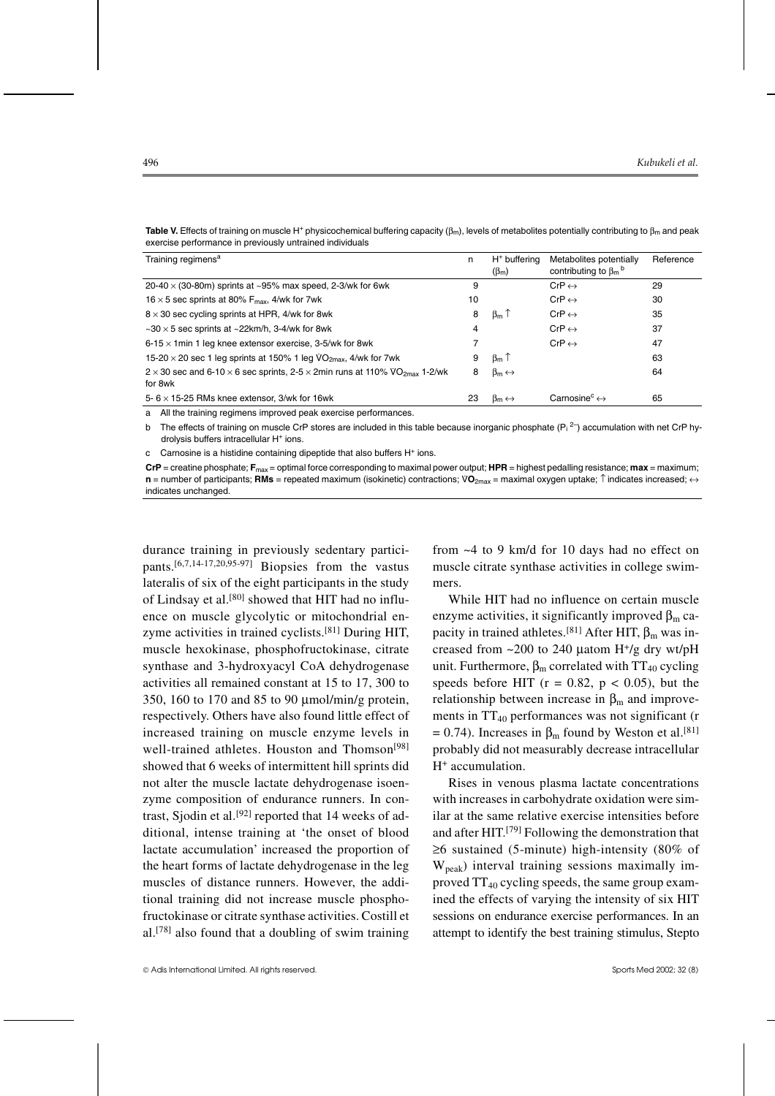| Training regimens <sup>a</sup>                                                                                         | n  | $H^+$ buffering<br>$(\beta_m)$ | Metabolites potentially<br>contributing to $\beta_m$ <sup>b</sup> | Reference |
|------------------------------------------------------------------------------------------------------------------------|----|--------------------------------|-------------------------------------------------------------------|-----------|
| $20-40 \times (30-80m)$ sprints at ~95% max speed, 2-3/wk for 6wk                                                      | 9  |                                | $CrP \leftrightarrow$                                             | 29        |
| 16 $\times$ 5 sec sprints at 80% F <sub>max</sub> , 4/wk for 7wk                                                       | 10 |                                | $CrP \leftrightarrow$                                             | 30        |
| $8 \times 30$ sec cycling sprints at HPR, 4/wk for 8wk                                                                 | 8  | $\beta_m$ 1                    | $CrP \leftrightarrow$                                             | 35        |
| $\sim$ 30 $\times$ 5 sec sprints at $\sim$ 22km/h, 3-4/wk for 8wk                                                      | 4  |                                | $CrP \leftrightarrow$                                             | 37        |
| 6-15 $\times$ 1 min 1 leg knee extensor exercise, 3-5/wk for 8wk                                                       |    |                                | $CrP \leftrightarrow$                                             | 47        |
| 15-20 $\times$ 20 sec 1 leg sprints at 150% 1 leg $\sqrt{O_{2max}}$ , 4/wk for 7wk                                     | 9  | $\beta_m$ T                    |                                                                   | 63        |
| $2 \times 30$ sec and 6-10 $\times$ 6 sec sprints, 2-5 $\times$ 2min runs at 110% VO <sub>2max</sub> 1-2/wk<br>for 8wk | 8  | $\beta_m \leftrightarrow$      |                                                                   | 64        |
| 5- $6 \times 15$ -25 RMs knee extensor, 3/wk for 16wk                                                                  | 23 | $\beta_m \leftrightarrow$      | Carnosine <sup>c</sup> $\leftrightarrow$                          | 65        |

**Table V.** Effects of training on muscle H<sup>+</sup> physicochemical buffering capacity ( $\beta_m$ ), levels of metabolites potentially contributing to  $\beta_m$  and peak exercise performance in previously untrained individuals

a All the training regimens improved peak exercise performances.

b The effects of training on muscle CrP stores are included in this table because inorganic phosphate  $(P_i^2)$  accumulation with net CrP hydrolysis buffers intracellular H<sup>+</sup> ions.

c Carnosine is a histidine containing dipeptide that also buffers  $H^+$  ions.

**CrP** = creatine phosphate; **F**max = optimal force corresponding to maximal power output; **HPR** = highest pedalling resistance; **max** = maximum; **n** = number of participants; **RMs** = repeated maximum (isokinetic) contractions; VO<sub>2max</sub> = maximal oxygen uptake; ↑ indicates increased; ↔ indicates increased; ↔ indicates unchanged.

durance training in previously sedentary participants.[6,7,14-17,20,95-97] Biopsies from the vastus lateralis of six of the eight participants in the study of Lindsay et al.<sup>[80]</sup> showed that HIT had no influence on muscle glycolytic or mitochondrial enzyme activities in trained cyclists.[81] During HIT, muscle hexokinase, phosphofructokinase, citrate synthase and 3-hydroxyacyl CoA dehydrogenase activities all remained constant at 15 to 17, 300 to 350, 160 to 170 and 85 to 90 µmol/min/g protein, respectively. Others have also found little effect of increased training on muscle enzyme levels in well-trained athletes. Houston and Thomson<sup>[98]</sup> showed that 6 weeks of intermittent hill sprints did not alter the muscle lactate dehydrogenase isoenzyme composition of endurance runners. In contrast, Sjodin et al.<sup>[92]</sup> reported that 14 weeks of additional, intense training at 'the onset of blood lactate accumulation' increased the proportion of the heart forms of lactate dehydrogenase in the leg muscles of distance runners. However, the additional training did not increase muscle phosphofructokinase or citrate synthase activities. Costill et al.[78] also found that a doubling of swim training

from ~4 to 9 km/d for 10 days had no effect on muscle citrate synthase activities in college swimmers.

While HIT had no influence on certain muscle enzyme activities, it significantly improved  $\beta_m$  capacity in trained athletes.<sup>[81]</sup> After HIT,  $\beta_m$  was increased from  $\sim$  200 to 240 µatom H<sup>+</sup>/g dry wt/pH unit. Furthermore,  $\beta_m$  correlated with TT<sub>40</sub> cycling speeds before HIT ( $r = 0.82$ ,  $p < 0.05$ ), but the relationship between increase in  $\beta_m$  and improvements in  $TT_{40}$  performances was not significant (r = 0.74). Increases in  $\beta_m$  found by Weston et al.<sup>[81]</sup> probably did not measurably decrease intracellular H+ accumulation.

Rises in venous plasma lactate concentrations with increases in carbohydrate oxidation were similar at the same relative exercise intensities before and after HIT.[79] Following the demonstration that ≥6 sustained (5-minute) high-intensity (80% of Wpeak) interval training sessions maximally improved  $TT_{40}$  cycling speeds, the same group examined the effects of varying the intensity of six HIT sessions on endurance exercise performances. In an attempt to identify the best training stimulus, Stepto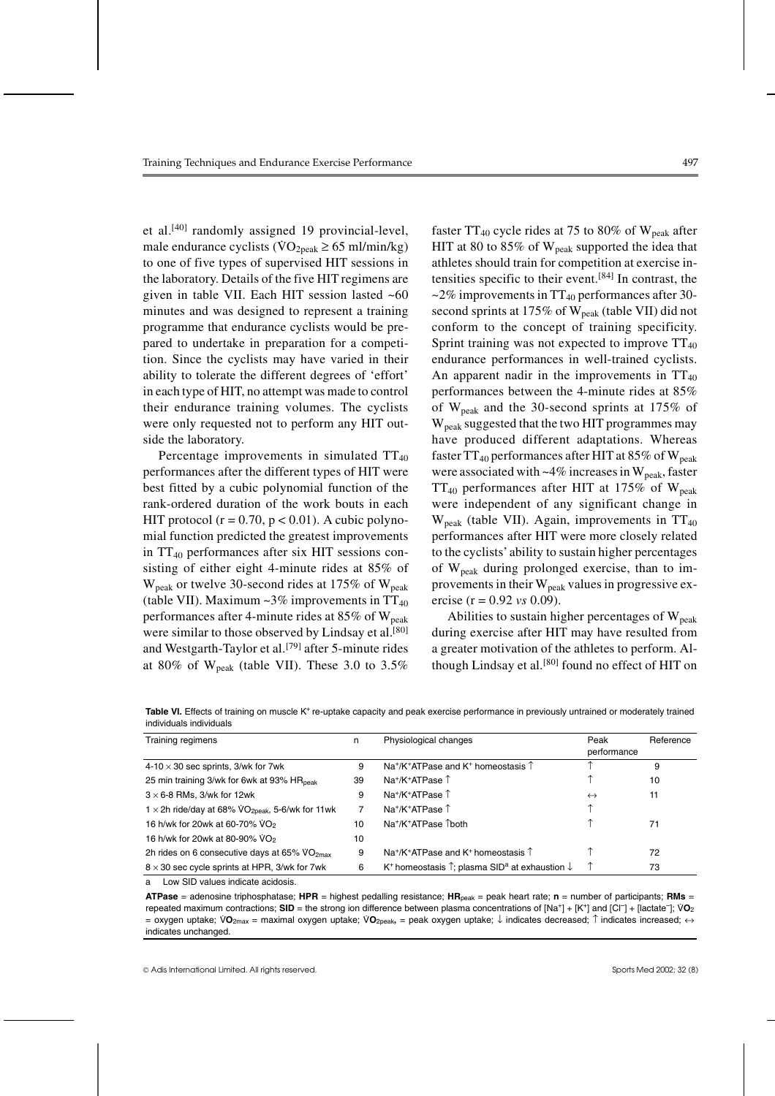et al.<sup>[40]</sup> randomly assigned 19 provincial-level, male endurance cyclists ( $\text{VO}_{2\text{peak}} \geq 65 \text{ ml/min/kg}$ ) to one of five types of supervised HIT sessions in the laboratory. Details of the five HIT regimens are given in table VII. Each HIT session lasted ~60 minutes and was designed to represent a training programme that endurance cyclists would be prepared to undertake in preparation for a competition. Since the cyclists may have varied in their ability to tolerate the different degrees of 'effort' in each type of HIT, no attempt was made to control their endurance training volumes. The cyclists were only requested not to perform any HIT outside the laboratory.

Percentage improvements in simulated  $TT_{40}$ performances after the different types of HIT were best fitted by a cubic polynomial function of the rank-ordered duration of the work bouts in each HIT protocol ( $r = 0.70$ ,  $p < 0.01$ ). A cubic polynomial function predicted the greatest improvements in  $TT_{40}$  performances after six HIT sessions consisting of either eight 4-minute rides at 85% of  $W_{\text{peak}}$  or twelve 30-second rides at 175% of  $W_{\text{peak}}$ (table VII). Maximum  $\sim$ 3% improvements in TT<sub>40</sub> performances after 4-minute rides at  $85\%$  of  $W_{\text{peak}}$ were similar to those observed by Lindsay et al.<sup>[80]</sup> and Westgarth-Taylor et al.<sup>[79]</sup> after 5-minute rides at 80% of  $W_{peak}$  (table VII). These 3.0 to 3.5%

faster  $TT_{40}$  cycle rides at 75 to 80% of  $W_{\text{peak}}$  after HIT at 80 to 85% of  $W_{\text{peak}}$  supported the idea that athletes should train for competition at exercise intensities specific to their event.[84] In contrast, the  $\approx$  2% improvements in TT<sub>40</sub> performances after 30second sprints at 175% of  $W_{\text{peak}}$  (table VII) did not conform to the concept of training specificity. Sprint training was not expected to improve  $TT_{40}$ endurance performances in well-trained cyclists. An apparent nadir in the improvements in  $TT_{40}$ performances between the 4-minute rides at 85% of  $W_{\text{peak}}$  and the 30-second sprints at 175% of  $W_{\text{peak}}$  suggested that the two HIT programmes may have produced different adaptations. Whereas faster  $TT_{40}$  performances after HIT at 85% of W<sub>peak</sub> were associated with  $\sim$ 4% increases in W<sub>peak</sub>, faster  $TT_{40}$  performances after HIT at 175% of W<sub>peak</sub> were independent of any significant change in  $W_{\text{peak}}$  (table VII). Again, improvements in TT<sub>40</sub> performances after HIT were more closely related to the cyclists'ability to sustain higher percentages of Wpeak during prolonged exercise, than to improvements in their  $W_{peak}$  values in progressive exercise (r = 0.92 *vs* 0.09).

Abilities to sustain higher percentages of  $W_{\text{peak}}$ during exercise after HIT may have resulted from a greater motivation of the athletes to perform. Although Lindsay et al.<sup>[80]</sup> found no effect of HIT on

| Table VI. Effects of training on muscle K <sup>+</sup> re-uptake capacity and peak exercise performance in previously untrained or moderately trained |  |
|-------------------------------------------------------------------------------------------------------------------------------------------------------|--|
| individuals individuals                                                                                                                               |  |

| Training regimens                                                   | n  | Physiological changes                                                                     | Peak<br>performance | Reference |
|---------------------------------------------------------------------|----|-------------------------------------------------------------------------------------------|---------------------|-----------|
| $4-10 \times 30$ sec sprints, 3/wk for 7wk                          | 9  | Na <sup>+</sup> /K <sup>+</sup> ATPase and K <sup>+</sup> homeostasis $\uparrow$          |                     | 9         |
| 25 min training 3/wk for 6wk at 93% HR <sub>peak</sub>              | 39 | $Na^+/K^+ATPase$                                                                          |                     | 10        |
| $3 \times 6$ -8 RMs, 3/wk for 12wk                                  | 9  | $Na^+/K^+ATPase$                                                                          | $\leftrightarrow$   | 11        |
| 1 $\times$ 2h ride/day at 68% VO <sub>2peak</sub> , 5-6/wk for 11wk |    | $Na^+/K^+ATPase$                                                                          |                     |           |
| 16 h/wk for 20wk at 60-70% VO <sub>2</sub>                          | 10 | Na <sup>+</sup> /K <sup>+</sup> ATPase 1both                                              |                     | 71        |
| 16 h/wk for 20wk at 80-90% VO <sub>2</sub>                          | 10 |                                                                                           |                     |           |
| 2h rides on 6 consecutive days at 65% $VO2max$                      | 9  | $Na^{+/K+ATPase}$ and K <sup>+</sup> homeostasis $\uparrow$                               |                     | 72        |
| $8 \times 30$ sec cycle sprints at HPR, 3/wk for 7wk                | 6  | K <sup>+</sup> homeostasis $\hat{I}$ ; plasma SID <sup>a</sup> at exhaustion $\downarrow$ |                     | 73        |

a Low SID values indicate acidosis.

**ATPase** = adenosine triphosphatase; **HPR** = highest pedalling resistance; **HR**peak = peak heart rate; **n** = number of participants; **RMs** = repeated maximum contractions; **SID** = the strong ion difference between plasma concentrations of [Na<sup>+</sup>] + [K<sup>+</sup>] and [Cl<sup>-</sup>] + [lactate<sup>-</sup>]; VO<sub>2</sub> is a prepeated maximum contractions; **SID** = the strong ion difference be  $\simeq$  peaked maximum conductions;  $\overline{CD}$  = the strong for difference between plasma concentrations of that if they and [or j+t particles];  $\overline{CD}$ <br>= oxygen uptake;  $\overline{VO}$ <sub>2max</sub> = maximal oxygen uptake;  $\overline{VO}$ <sub>2peak</sub> indicates unchanged.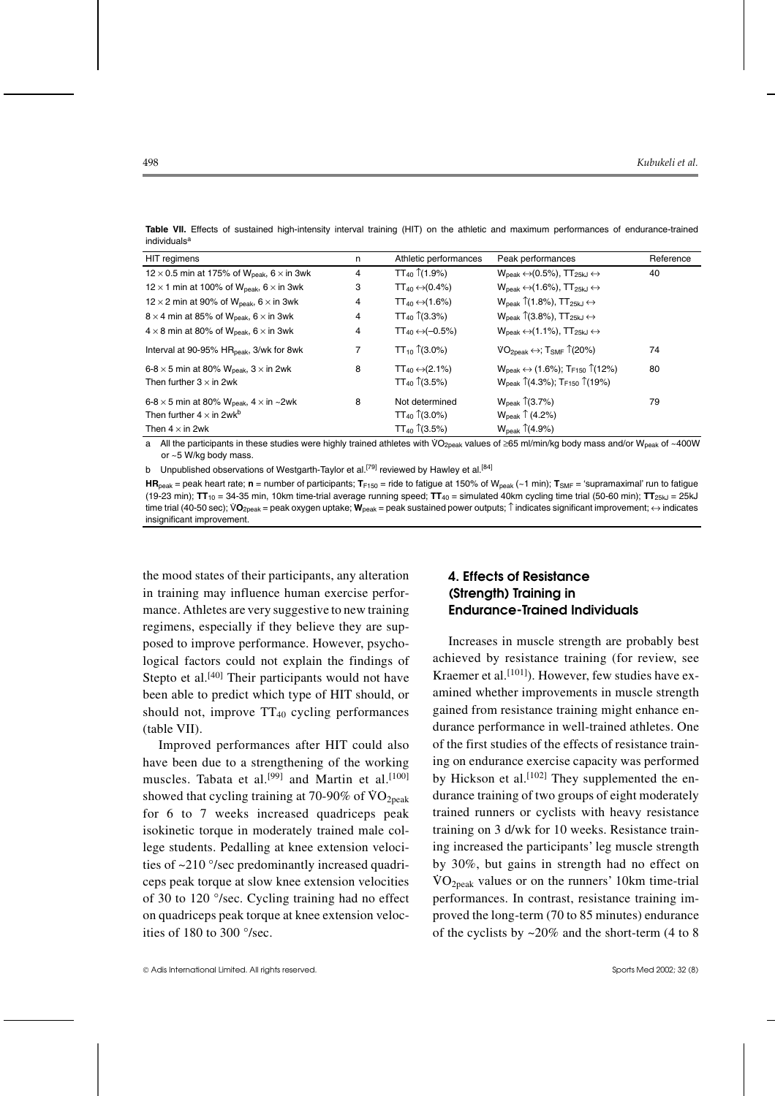| HIT regimens                                                           | n | Athletic performances              | Peak performances                                                                | Reference |
|------------------------------------------------------------------------|---|------------------------------------|----------------------------------------------------------------------------------|-----------|
| 12 $\times$ 0.5 min at 175% of W <sub>peak</sub> , 6 $\times$ in 3wk   | 4 | $TT_{40}$ (1.9%)                   | $W_{\text{peak}} \leftrightarrow (0.5\%)$ , TT <sub>25kJ</sub> $\leftrightarrow$ | 40        |
| 12 $\times$ 1 min at 100% of W <sub>peak</sub> , 6 $\times$ in 3wk     | 3 | $TT_{40} \leftrightarrow (0.4\%)$  | $W_{\text{peak}} \leftrightarrow (1.6\%)$ , $TT_{25k} \leftrightarrow$           |           |
| 12 $\times$ 2 min at 90% of W <sub>peak</sub> , 6 $\times$ in 3wk      | 4 | $TT_{40} \leftrightarrow (1.6\%)$  | $W_{\text{peak}}$ (1.8%), TT <sub>25kJ</sub> $\leftrightarrow$                   |           |
| $8 \times 4$ min at 85% of W <sub>neak</sub> , $6 \times$ in 3wk       | 4 | $TT_{40}$ (3.3%)                   | $W_{\text{peak}}$ (3.8%), TT <sub>25kJ</sub> $\leftrightarrow$                   |           |
| $4 \times 8$ min at 80% of W <sub>neak</sub> , $6 \times$ in 3wk       | 4 | $TT_{40} \leftrightarrow (-0.5\%)$ | $W_{\text{peak}} \leftrightarrow (1.1\%)$ , TT <sub>25kJ</sub> $\leftrightarrow$ |           |
| Interval at 90-95% HR <sub>peak</sub> , 3/wk for 8wk                   | 7 | TT <sub>10</sub> $\uparrow$ (3.0%) | $VO_{2peak} \leftrightarrow$ ; T <sub>SMF</sub> $\hat{1}(20\%)$                  | 74        |
| 6-8 $\times$ 5 min at 80% W <sub>peak</sub> , 3 $\times$ in 2wk        | 8 | $TT_{40} \leftrightarrow (2.1\%)$  | $W_{\text{peak}} \leftrightarrow (1.6\%)$ ; TF150 1(12%)                         | 80        |
| Then further $3 \times$ in 2wk                                         |   | $TT_{40}$ (3.5%)                   | $W_{peak}$ $\hat{1}(4.3\%)$ ; T <sub>F150</sub> $\hat{1}(19\%)$                  |           |
| 6-8 $\times$ 5 min at 80% W <sub>peak</sub> , 4 $\times$ in $\sim$ 2wk | 8 | Not determined                     | $W_{\text{peak}}$ (3.7%)                                                         | 79        |
| Then further $4 \times$ in 2wk <sup>b</sup>                            |   | $TT_{40}$ (3.0%)                   | $W_{\text{peak}} \uparrow (4.2\%)$                                               |           |
| Then $4 \times$ in 2wk                                                 |   | $TT_{40}$ (3.5%)                   | $W_{\text{peak}}$ $\uparrow$ (4.9%)                                              |           |

**Table VII.** Effects of sustained high-intensity interval training (HIT) on the athletic and maximum performances of endurance-trained individuals<sup>a</sup>

a All the participants in these studies were highly trained athletes with VO<sub>2peak</sub> values of ≥65 ml/min/kg body mass and/or W<sub>peak</sub> of ~400W or ~5 W/kg body mass.

b Unpublished observations of Westgarth-Taylor et al.<sup>[79]</sup> reviewed by Hawley et al.<sup>[84]</sup>

**HR**<sub>peak</sub> = peak heart rate; **n** = number of participants; **T**<sub>F150</sub> = ride to fatigue at 150% of W<sub>peak</sub> (~1 min); **T**<sub>SMF</sub> = 'supramaximal' run to fatigue (19-23 min); **TT**<sup>10</sup> = 34-35 min, 10km time-trial average running speed; **TT**<sup>40</sup> = simulated 40km cycling time trial (50-60 min); **TT**25kJ = 25kJ time trial (40-50 sec); VO<sub>2peak</sub> = peak oxygen uptake; W<sub>peak</sub> = peak sustained power outputs; ↑ indicates significant improvement; ↔ indicates insignificant improvement.

the mood states of their participants, any alteration in training may influence human exercise performance. Athletes are very suggestive to new training regimens, especially if they believe they are supposed to improve performance. However, psychological factors could not explain the findings of Stepto et al.<sup>[40]</sup> Their participants would not have been able to predict which type of HIT should, or should not, improve  $TT_{40}$  cycling performances (table VII).

Improved performances after HIT could also have been due to a strengthening of the working muscles. Tabata et al.<sup>[99]</sup> and Martin et al.<sup>[100]</sup> showed that cycling training at 70-90% of  $\rm{VO}_{2\text{peak}}$ for 6 to 7 weeks increased quadriceps peak isokinetic torque in moderately trained male college students. Pedalling at knee extension velocities of ~210 °/sec predominantly increased quadriceps peak torque at slow knee extension velocities of 30 to 120 °/sec. Cycling training had no effect on quadriceps peak torque at knee extension velocities of 180 to 300 °/sec.

# **4. Effects of Resistance (Strength) Training in Endurance-Trained Individuals**

Increases in muscle strength are probably best achieved by resistance training (for review, see Kraemer et al.<sup>[101]</sup>). However, few studies have examined whether improvements in muscle strength gained from resistance training might enhance endurance performance in well-trained athletes. One of the first studies of the effects of resistance training on endurance exercise capacity was performed by Hickson et al.<sup>[102]</sup> They supplemented the endurance training of two groups of eight moderately trained runners or cyclists with heavy resistance training on 3 d/wk for 10 weeks. Resistance training increased the participants' leg muscle strength by 30%, but gains in strength had no effect on  $\sqrt[3]{\frac{60}{\pi}}$  values or on the runners' 10km time-trial performances. In contrast, resistance training improved the long-term (70 to 85 minutes) endurance of the cyclists by  $\sim$  20% and the short-term (4 to 8)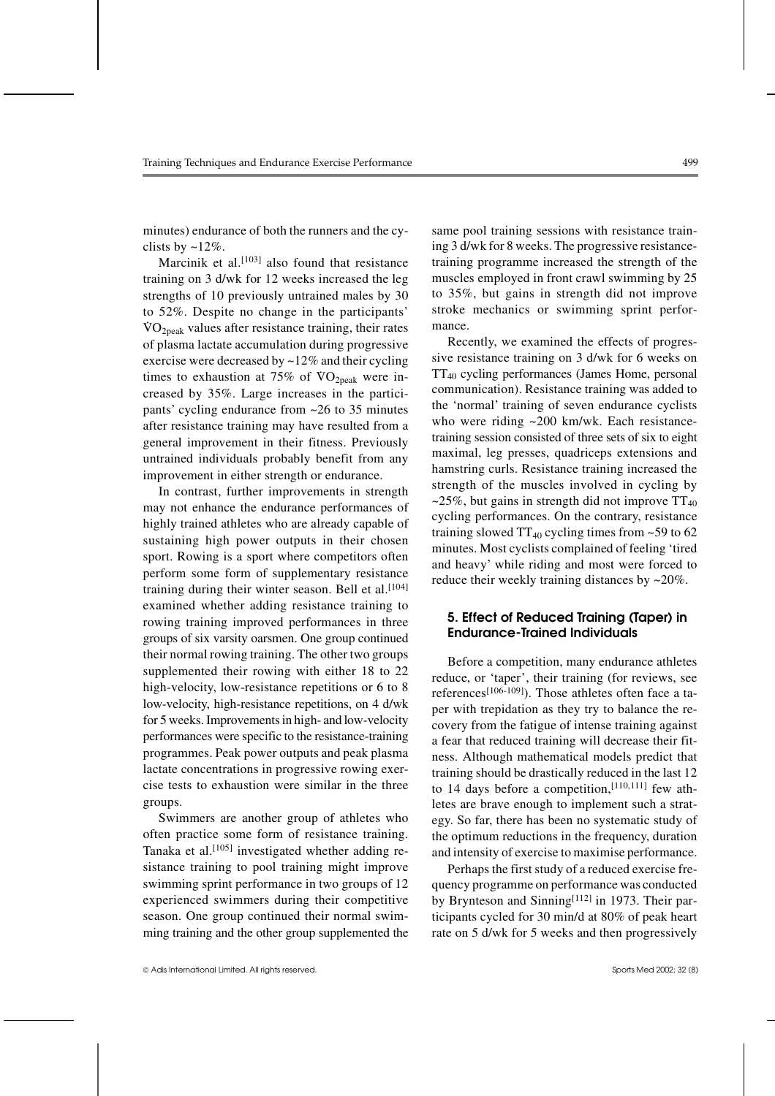minutes) endurance of both the runners and the cyclists by ~12%.

Marcinik et al.<sup>[103]</sup> also found that resistance training on 3 d/wk for 12 weeks increased the leg strengths of 10 previously untrained males by 30 to 52%. Despite no change in the participants'  $\sqrt[3]{O_{2\text{peak}}}$  values after resistance training, their rates of plasma lactate accumulation during progressive exercise were decreased by  $\sim$ 12% and their cycling times to exhaustion at 75% of  $\rm VO_{2peak}$  were increased by 35%. Large increases in the participants' cycling endurance from ~26 to 35 minutes after resistance training may have resulted from a general improvement in their fitness. Previously untrained individuals probably benefit from any improvement in either strength or endurance.

In contrast, further improvements in strength may not enhance the endurance performances of highly trained athletes who are already capable of sustaining high power outputs in their chosen sport. Rowing is a sport where competitors often perform some form of supplementary resistance training during their winter season. Bell et al.<sup>[104]</sup> examined whether adding resistance training to rowing training improved performances in three groups of six varsity oarsmen. One group continued their normal rowing training. The other two groups supplemented their rowing with either 18 to 22 high-velocity, low-resistance repetitions or 6 to 8 low-velocity, high-resistance repetitions, on 4 d/wk for 5 weeks. Improvements in high- and low-velocity performances were specific to the resistance-training programmes. Peak power outputs and peak plasma lactate concentrations in progressive rowing exercise tests to exhaustion were similar in the three groups.

Swimmers are another group of athletes who often practice some form of resistance training. Tanaka et al.<sup>[105]</sup> investigated whether adding resistance training to pool training might improve swimming sprint performance in two groups of 12 experienced swimmers during their competitive season. One group continued their normal swimming training and the other group supplemented the same pool training sessions with resistance training 3 d/wk for 8 weeks. The progressive resistancetraining programme increased the strength of the muscles employed in front crawl swimming by 25 to 35%, but gains in strength did not improve stroke mechanics or swimming sprint performance.

Recently, we examined the effects of progressive resistance training on 3 d/wk for 6 weeks on TT40 cycling performances (James Home, personal communication). Resistance training was added to the 'normal' training of seven endurance cyclists who were riding ~200 km/wk. Each resistancetraining session consisted of three sets of six to eight maximal, leg presses, quadriceps extensions and hamstring curls. Resistance training increased the strength of the muscles involved in cycling by ~25%, but gains in strength did not improve  $TT_{40}$ cycling performances. On the contrary, resistance training slowed  $TT_{40}$  cycling times from  $\sim$  59 to 62 minutes. Most cyclists complained of feeling 'tired and heavy' while riding and most were forced to reduce their weekly training distances by ~20%.

## **5. Effect of Reduced Training (Taper) in Endurance-Trained Individuals**

Before a competition, many endurance athletes reduce, or 'taper', their training (for reviews, see references<sup>[106-109]</sup>). Those athletes often face a taper with trepidation as they try to balance the recovery from the fatigue of intense training against a fear that reduced training will decrease their fitness. Although mathematical models predict that training should be drastically reduced in the last 12 to 14 days before a competition, [110,111] few athletes are brave enough to implement such a strategy. So far, there has been no systematic study of the optimum reductions in the frequency, duration and intensity of exercise to maximise performance.

Perhaps the first study of a reduced exercise frequency programme on performance was conducted by Brynteson and Sinning<sup>[112]</sup> in 1973. Their participants cycled for 30 min/d at 80% of peak heart rate on 5 d/wk for 5 weeks and then progressively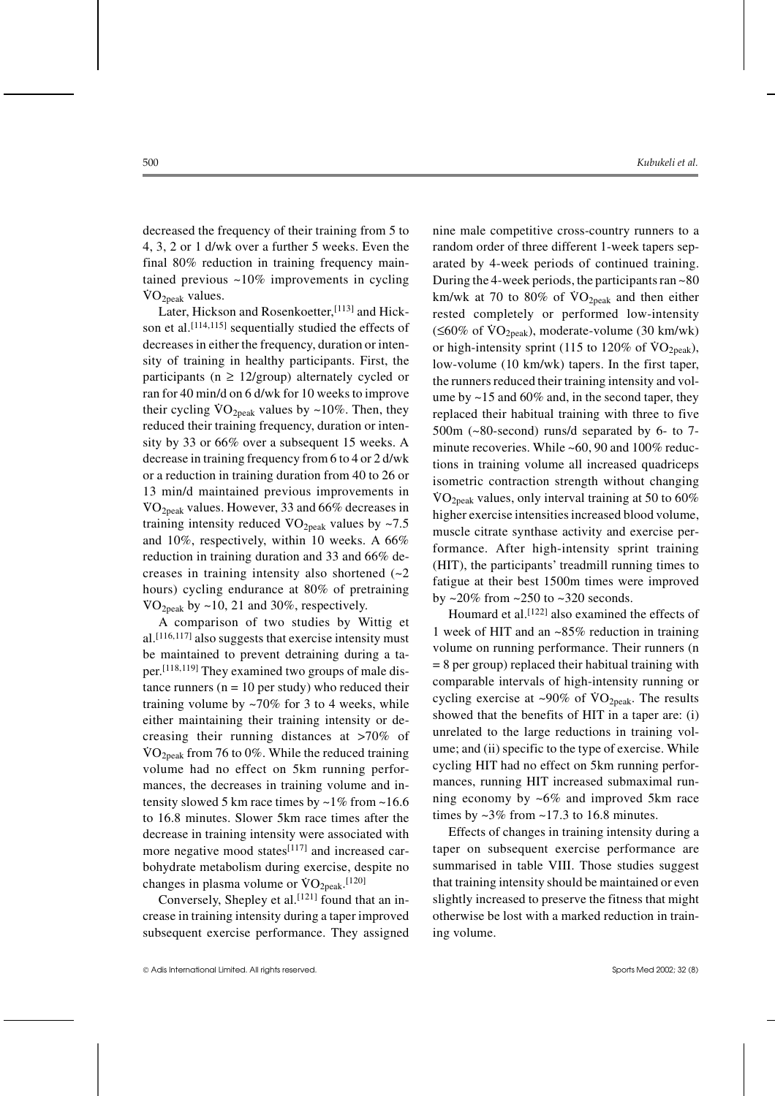decreased the frequency of their training from 5 to 4, 3, 2 or 1 d/wk over a further 5 weeks. Even the final 80% reduction in training frequency maintained previous ~10% improvements in cycling  $\rm\ddot{v}O_{2peak}$  values.

Later, Hickson and Rosenkoetter, [113] and Hickson et al.<sup>[114,115]</sup> sequentially studied the effects of decreases in either the frequency, duration or intensity of training in healthy participants. First, the participants ( $n \geq 12$ /group) alternately cycled or ran for 40 min/d on 6 d/wk for 10 weeks to improve their cycling  $\overline{VQ}_{2\text{peak}}$  values by  $\sim$ 10%. Then, they reduced their training frequency, duration or intensity by 33 or 66% over a subsequent 15 weeks. A decrease in training frequency from 6 to 4 or 2 d/wk or a reduction in training duration from 40 to 26 or 13 min/d maintained previous improvements in  $\sqrt[3]{\text{VO}_{2\text{peak}}}$  values. However, 33 and 66% decreases in training intensity reduced  $\sqrt[3]{O_{2\text{peak}}}$  values by ~7.5 and 10%, respectively, within 10 weeks. A 66% reduction in training duration and 33 and 66% decreases in training intensity also shortened  $(-2)$ hours) cycling endurance at 80% of pretraining VO<sub>2peak</sub> by ~10, 21 and 30%, respectively.

A comparison of two studies by Wittig et al.[116,117] also suggests that exercise intensity must be maintained to prevent detraining during a taper.[118,119] They examined two groups of male distance runners ( $n = 10$  per study) who reduced their training volume by  $\sim 70\%$  for 3 to 4 weeks, while either maintaining their training intensity or decreasing their running distances at >70% of VO<sub>2peak</sub> from 76 to 0%. While the reduced training volume had no effect on 5km running performances, the decreases in training volume and intensity slowed 5 km race times by  $\sim$  1% from  $\sim$  16.6 to 16.8 minutes. Slower 5km race times after the decrease in training intensity were associated with more negative mood states<sup>[117]</sup> and increased carbohydrate metabolism during exercise, despite no changes in plasma volume or  $\text{VO}_{2\text{peak}}$ .<sup>[120]</sup>

Conversely, Shepley et al.<sup>[121]</sup> found that an increase in training intensity during a taper improved subsequent exercise performance. They assigned nine male competitive cross-country runners to a random order of three different 1-week tapers separated by 4-week periods of continued training. During the 4-week periods, the participants ran ~80 Euring the 1 week periods, the purely pairs rain to be km/wk at 70 to 80% of  $\rm{VO}_{2peak}$  and then either rested completely or performed low-intensity  $(\leq 60\% \text{ of } VO_{2peak})$ , moderate-volume (30 km/wk) or high-intensity sprint (115 to 120% of  $VO<sub>2peak</sub>$ ), low-volume (10 km/wk) tapers. In the first taper, the runners reduced their training intensity and volume by ~15 and 60% and, in the second taper, they replaced their habitual training with three to five 500m (~80-second) runs/d separated by 6- to 7 minute recoveries. While ~60, 90 and 100% reductions in training volume all increased quadriceps isometric contraction strength without changing VO<sub>2peak</sub> values, only interval training at 50 to  $60\%$ higher exercise intensities increased blood volume, muscle citrate synthase activity and exercise performance. After high-intensity sprint training (HIT), the participants' treadmill running times to fatigue at their best 1500m times were improved by  $\sim$ 20% from  $\sim$ 250 to  $\sim$ 320 seconds.

Houmard et al.<sup>[122]</sup> also examined the effects of 1 week of HIT and an ~85% reduction in training volume on running performance. Their runners (n  $= 8$  per group) replaced their habitual training with comparable intervals of high-intensity running or cycling exercise at  $\sim 90\%$  of  $\text{VO}_{\text{2peak}}$ . The results showed that the benefits of HIT in a taper are: (i) unrelated to the large reductions in training volume; and (ii) specific to the type of exercise. While cycling HIT had no effect on 5km running performances, running HIT increased submaximal running economy by ~6% and improved 5km race times by  $\sim$ 3% from  $\sim$ 17.3 to 16.8 minutes.

Effects of changes in training intensity during a taper on subsequent exercise performance are summarised in table VIII. Those studies suggest that training intensity should be maintained or even slightly increased to preserve the fitness that might otherwise be lost with a marked reduction in training volume.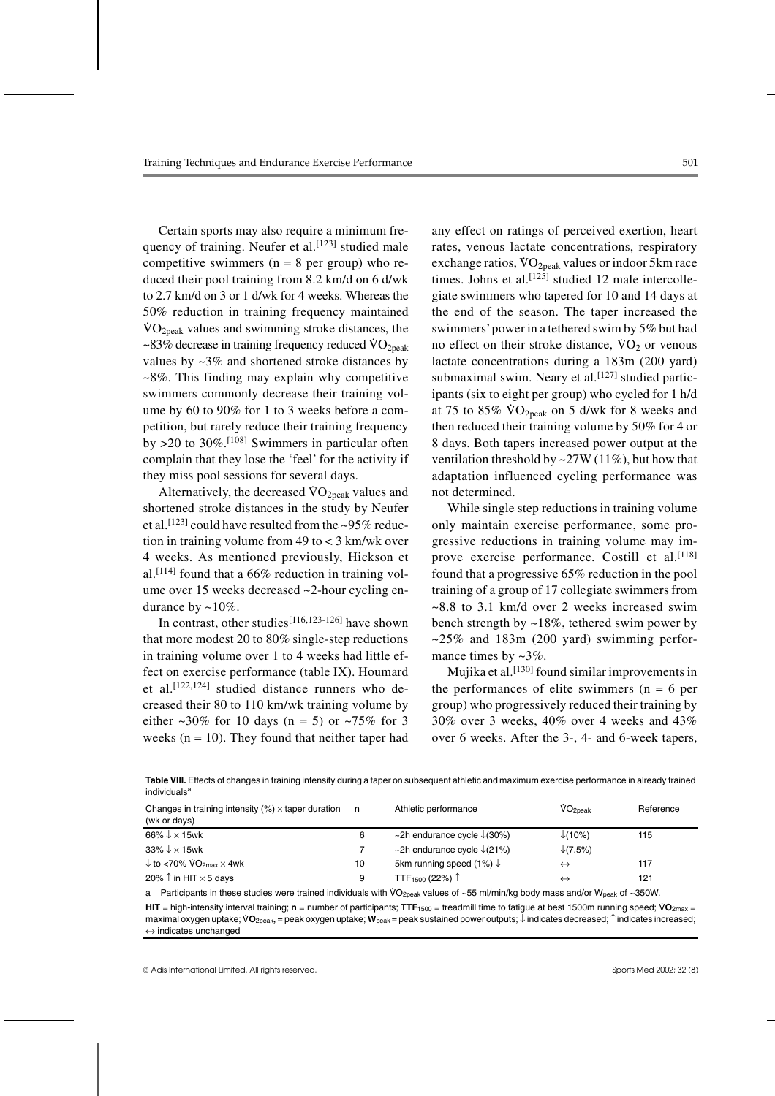Certain sports may also require a minimum frequency of training. Neufer et al.<sup>[123]</sup> studied male competitive swimmers ( $n = 8$  per group) who reduced their pool training from 8.2 km/d on 6 d/wk to 2.7 km/d on 3 or 1 d/wk for 4 weeks. Whereas the 50% reduction in training frequency maintained  $\sqrt[3]{O_{2\text{peak}}}$  values and swimming stroke distances, the  $\sim$ 83% decrease in training frequency reduced  $\rm{VO}_{2peak}$ values by ~3% and shortened stroke distances by ~8%. This finding may explain why competitive swimmers commonly decrease their training volume by 60 to 90% for 1 to 3 weeks before a competition, but rarely reduce their training frequency by  $>20$  to 30%.<sup>[108]</sup> Swimmers in particular often complain that they lose the 'feel' for the activity if they miss pool sessions for several days.

Alternatively, the decreased  $VO<sub>2peak</sub>$  values and shortened stroke distances in the study by Neufer et al.<sup>[123]</sup> could have resulted from the ~95% reduction in training volume from 49 to < 3 km/wk over 4 weeks. As mentioned previously, Hickson et al.<sup>[114]</sup> found that a  $66\%$  reduction in training volume over 15 weeks decreased ~2-hour cycling endurance by  $\sim 10\%$ .

In contrast, other studies<sup>[116,123-126]</sup> have shown that more modest 20 to 80% single-step reductions in training volume over 1 to 4 weeks had little effect on exercise performance (table IX). Houmard et al.<sup>[122,124]</sup> studied distance runners who decreased their 80 to 110 km/wk training volume by either  $\approx 30\%$  for 10 days (n = 5) or  $\approx 75\%$  for 3 weeks ( $n = 10$ ). They found that neither taper had any effect on ratings of perceived exertion, heart rates, venous lactate concentrations, respiratory exchange ratios,  $\sqrt{O_{2\text{peak}}}$  values or indoor 5km race times. Johns et al.<sup>[125]</sup> studied 12 male intercollegiate swimmers who tapered for 10 and 14 days at the end of the season. The taper increased the swimmers'power in a tethered swim by 5% but had no effect on their stroke distance,  $VO<sub>2</sub>$  or venous lactate concentrations during a 183m (200 yard) submaximal swim. Neary et al.<sup>[127]</sup> studied participants (six to eight per group) who cycled for 1 h/d at 75 to  $85\%$  VO<sub>2peak</sub> on 5 d/wk for 8 weeks and then reduced their training volume by 50% for 4 or 8 days. Both tapers increased power output at the ventilation threshold by  $\sim$  27W (11%), but how that adaptation influenced cycling performance was not determined.

While single step reductions in training volume only maintain exercise performance, some progressive reductions in training volume may improve exercise performance. Costill et al.<sup>[118]</sup> found that a progressive 65% reduction in the pool training of a group of 17 collegiate swimmers from  $\sim$ 8.8 to 3.1 km/d over 2 weeks increased swim bench strength by  $\sim$ 18%, tethered swim power by  $\approx$  25% and 183m (200 yard) swimming performance times by  $\sim 3\%$ .

Mujika et al.<sup>[130]</sup> found similar improvements in the performances of elite swimmers  $(n = 6$  per group) who progressively reduced their training by 30% over 3 weeks, 40% over 4 weeks and 43% over 6 weeks. After the 3-, 4- and 6-week tapers,

**Table VIII.** Effects of changes in training intensity during a taper on subsequent athletic and maximum exercise performance in already trained individuals<sup>a</sup>

| Changes in training intensity $(\%) \times$ taper duration<br>(wk or days) | n, | Athletic performance                   | $VO2$ <sub>Deak</sub> | Reference |
|----------------------------------------------------------------------------|----|----------------------------------------|-----------------------|-----------|
| 66% $\downarrow$ $\times$ 15wk                                             | 6  | ~2h endurance cycle $\downarrow$ (30%) | $\downarrow$ (10%)    | 115       |
| $33\% \downarrow \times 15$ wk                                             |    | ~2h endurance cycle $\sqrt{(21\%)}$    | $\downarrow$ (7.5%)   |           |
| $\downarrow$ to <70% $\text{VO}_{2\text{max}} \times 4\text{wk}$           | 10 | 5km running speed (1%) $\downarrow$    | $\leftrightarrow$     | 117       |
| 20% $\uparrow$ in HIT $\times$ 5 days                                      | 9  | TTF <sub>1500</sub> (22%) $\uparrow$   | $\leftrightarrow$     | 121       |

a Participants in these studies were trained individuals with VO<sub>2peak</sub> values of ~55 ml/min/kg body mass and/or W<sub>peak</sub> of ~350W.

**HIT** = high-intensity interval training; **n** = number of participants; TTF<sub>1500</sub> = treadmill time to fatigue at best 1500m running speed; VO<sub>2max</sub> = maximal oxygen uptake; V. **O**2peak**,** = peak oxygen uptake; **W**peak = peak sustained power outputs; ↓ indicates decreased; ↑indicates increased; ↔ indicates unchanged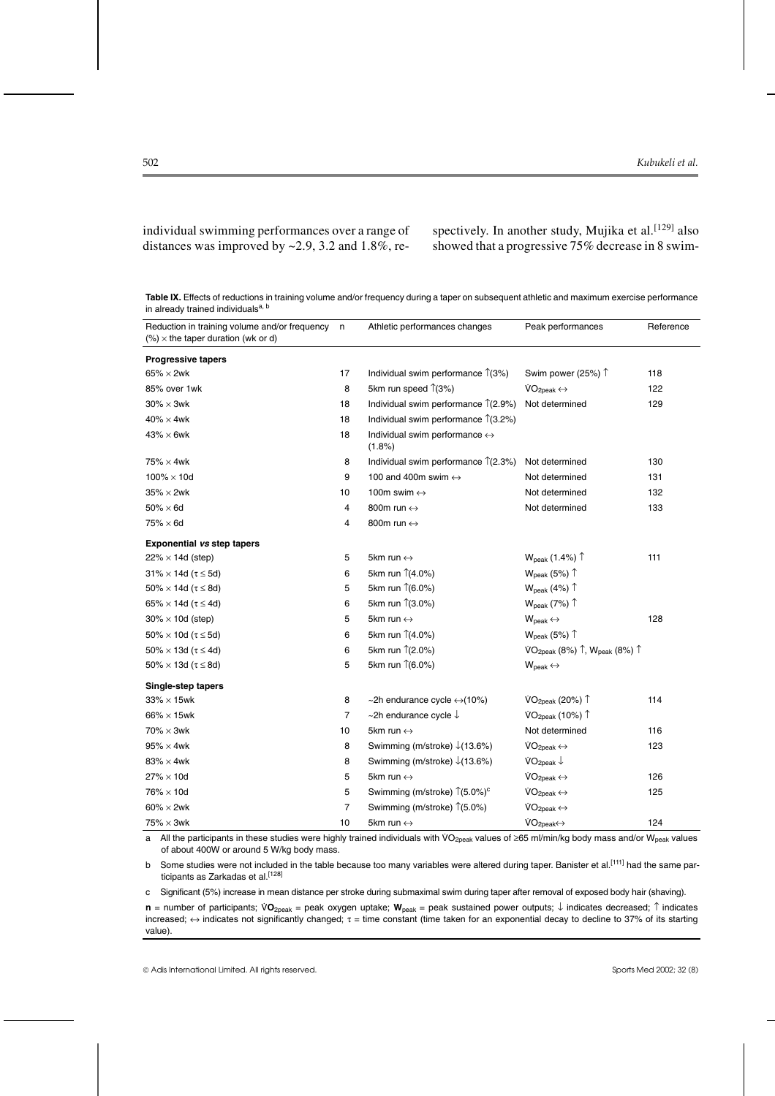individual swimming performances over a range of distances was improved by  $\sim$  2.9, 3.2 and 1.8%, respectively. In another study, Mujika et al.<sup>[129]</sup> also showed that a progressive 75% decrease in 8 swim-

**Table IX.** Effects of reductions in training volume and/or frequency during a taper on subsequent athletic and maximum exercise performance in already trained individualsa, b

| Reduction in training volume and/or frequency n<br>$(\%) \times$ the taper duration (wk or d) |    | Athletic performances changes                           | Peak performances                                    | Reference |
|-----------------------------------------------------------------------------------------------|----|---------------------------------------------------------|------------------------------------------------------|-----------|
| <b>Progressive tapers</b>                                                                     |    |                                                         |                                                      |           |
| $65\% \times 2$ wk                                                                            | 17 | Individual swim performance 1(3%)                       | Swim power (25%) 1                                   | 118       |
| 85% over 1wk                                                                                  | 8  | 5km run speed $\hat{1}(3%)$                             | $VO2peak \leftrightarrow$                            | 122       |
| $30\% \times 3$ wk                                                                            | 18 | Individual swim performance 1(2.9%)                     | Not determined                                       | 129       |
| $40\% \times 4$ wk                                                                            | 18 | Individual swim performance 1(3.2%)                     |                                                      |           |
| $43\% \times 6$ wk                                                                            | 18 | Individual swim performance $\leftrightarrow$<br>(1.8%) |                                                      |           |
| $75\% \times 4$ wk                                                                            | 8  | Individual swim performance $\hat{\Gamma}(2.3\%)$       | Not determined                                       | 130       |
| $100\% \times 10d$                                                                            | 9  | 100 and 400m swim $\leftrightarrow$                     | Not determined                                       | 131       |
| $35\% \times 2$ wk                                                                            | 10 | 100m swim $\leftrightarrow$                             | Not determined                                       | 132       |
| $50\% \times 6d$                                                                              | 4  | 800m run ↔                                              | Not determined                                       | 133       |
| $75\% \times 6d$                                                                              | 4  | 800m run $\leftrightarrow$                              |                                                      |           |
| <b>Exponential vs step tapers</b>                                                             |    |                                                         |                                                      |           |
| $22\% \times 14d$ (step)                                                                      | 5  | 5km run $\leftrightarrow$                               | $W_{\text{peak}}$ (1.4%) $\uparrow$                  | 111       |
| $31\% \times 14d$ ( $\tau \leq 5d$ )                                                          | 6  | 5km run 1(4.0%)                                         | $W_{\text{peak}}$ (5%) $\uparrow$                    |           |
| $50\% \times 14d$ ( $\tau \leq 8d$ )                                                          | 5  | 5km run 1(6.0%)                                         | $W_{\text{peak}}$ (4%) $\uparrow$                    |           |
| $65\% \times 14d$ ( $\tau \leq 4d$ )                                                          | 6  | 5km run 1(3.0%)                                         | $W_{\text{peak}}$ (7%) $\uparrow$                    |           |
| $30\% \times 10d$ (step)                                                                      | 5  | 5km run $\leftrightarrow$                               | $W_{peak} \leftrightarrow$                           | 128       |
| $50\% \times 10d$ ( $\tau \leq 5d$ )                                                          | 6  | 5km run 1(4.0%)                                         | $W_{\text{peak}}$ (5%) $\uparrow$                    |           |
| 50% $\times$ 13d ( $\tau \leq$ 4d)                                                            | 6  | 5km run 1(2.0%)                                         | VO <sub>2peak</sub> (8%) 1, $W_{\text{peak}}$ (8%) 1 |           |
| 50% $\times$ 13d ( $\tau \leq 8d$ )                                                           | 5  | 5km run 1(6.0%)                                         | $W_{\text{peak}} \leftrightarrow$                    |           |
| Single-step tapers                                                                            |    |                                                         |                                                      |           |
| $33\% \times 15$ wk                                                                           | 8  | ~2h endurance cycle $\leftrightarrow$ (10%)             | VO <sub>2peak</sub> (20%) <sup>1</sup>               | 114       |
| $66\% \times 15$ wk                                                                           | 7  | ~2h endurance cycle $\downarrow$                        | VO <sub>2peak</sub> (10%) <sup>1</sup>               |           |
| $70\% \times 3$ wk                                                                            | 10 | 5km run $\leftrightarrow$                               | Not determined                                       | 116       |
| $95\% \times 4$ wk                                                                            | 8  | Swimming (m/stroke) $\downarrow$ (13.6%)                | $VO2peak \leftrightarrow$                            | 123       |
| $83\% \times 4$ wk                                                                            | 8  | Swimming (m/stroke) $\sqrt{(13.6\%)}$                   | VO <sub>2peak</sub>                                  |           |
| $27\% \times 10d$                                                                             | 5  | 5km run $\leftrightarrow$                               | $VO2peak \leftrightarrow$                            | 126       |
| $76\% \times 10d$                                                                             | 5  | Swimming (m/stroke) 1(5.0%) <sup>c</sup>                | $VO2peak \leftrightarrow$                            | 125       |
| $60\% \times 2$ wk                                                                            | 7  | Swimming (m/stroke) $\hat{1}(5.0\%)$                    | $VO2peak \leftrightarrow$                            |           |
| $75\% \times 3$ wk                                                                            | 10 | 5km run $\leftrightarrow$                               | $VO2peak\leftrightarrow$                             | 124       |

a All the participants in these studies were highly trained individuals with VO<sub>2peak</sub> values of ≥65 ml/min/kg body mass and/or W<sub>peak</sub> values of about 400W or around 5 W/kg body mass.

b Some studies were not included in the table because too many variables were altered during taper. Banister et al.<sup>[111]</sup> had the same participants as Zarkadas et al.<sup>[128]</sup>

c Significant (5%) increase in mean distance per stroke during submaximal swim during taper after removal of exposed body hair (shaving).

**n** = number of participants; VO<sub>2peak</sub> = peak oxygen uptake; W<sub>peak</sub> = peak sustained power outputs; ↓ indicates decreased; ↑ indicates increased;  $\leftrightarrow$  indicates not significantly changed;  $\tau$  = time constant (time taken for an exponential decay to decline to 37% of its starting value).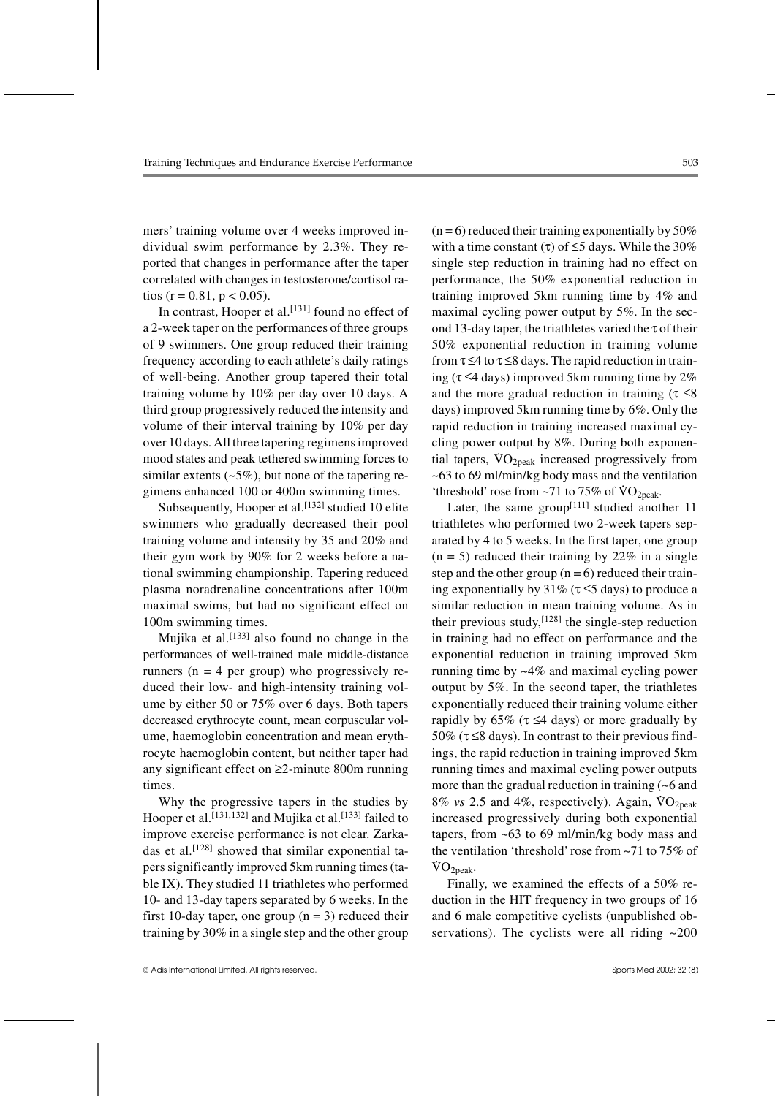mers' training volume over 4 weeks improved individual swim performance by 2.3%. They reported that changes in performance after the taper correlated with changes in testosterone/cortisol ratios (r = 0.81, p < 0.05).

In contrast, Hooper et al.<sup>[131]</sup> found no effect of a 2-week taper on the performances of three groups of 9 swimmers. One group reduced their training frequency according to each athlete's daily ratings of well-being. Another group tapered their total training volume by 10% per day over 10 days. A third group progressively reduced the intensity and volume of their interval training by 10% per day over 10 days. All three tapering regimens improved mood states and peak tethered swimming forces to similar extents  $(-5\%)$ , but none of the tapering regimens enhanced 100 or 400m swimming times.

Subsequently, Hooper et al.<sup>[132]</sup> studied 10 elite swimmers who gradually decreased their pool training volume and intensity by 35 and 20% and their gym work by 90% for 2 weeks before a national swimming championship. Tapering reduced plasma noradrenaline concentrations after 100m maximal swims, but had no significant effect on 100m swimming times.

Mujika et al.<sup>[133]</sup> also found no change in the performances of well-trained male middle-distance runners ( $n = 4$  per group) who progressively reduced their low- and high-intensity training volume by either 50 or 75% over 6 days. Both tapers decreased erythrocyte count, mean corpuscular volume, haemoglobin concentration and mean erythrocyte haemoglobin content, but neither taper had any significant effect on ≥2-minute 800m running times.

Why the progressive tapers in the studies by Hooper et al.<sup>[131,132]</sup> and Mujika et al.<sup>[133]</sup> failed to improve exercise performance is not clear. Zarkadas et al.<sup>[128]</sup> showed that similar exponential tapers significantly improved 5km running times (table IX). They studied 11 triathletes who performed 10- and 13-day tapers separated by 6 weeks. In the first 10-day taper, one group  $(n = 3)$  reduced their training by 30% in a single step and the other group  $(n=6)$  reduced their training exponentially by 50% with a time constant (τ) of  $\leq$ 5 days. While the 30% single step reduction in training had no effect on performance, the 50% exponential reduction in training improved 5km running time by 4% and maximal cycling power output by 5%. In the second 13-day taper, the triathletes varied the  $\tau$  of their 50% exponential reduction in training volume from  $\tau \leq 4$  to  $\tau \leq 8$  days. The rapid reduction in training ( $\tau \leq 4$  days) improved 5km running time by 2% and the more gradual reduction in training ( $\tau \leq 8$ days) improved 5km running time by 6%. Only the rapid reduction in training increased maximal cycling power output by 8%. During both exponential tapers,  $VO<sub>2peak</sub>$  increased progressively from ~63 to 69 ml/min/kg body mass and the ventilation 'threshold' rose from  $-71$  to  $75\%$  of  $VO_{2peak}$ .

Later, the same group<sup>[111]</sup> studied another 11 triathletes who performed two 2-week tapers separated by 4 to 5 weeks. In the first taper, one group  $(n = 5)$  reduced their training by 22% in a single step and the other group  $(n = 6)$  reduced their training exponentially by 31% ( $\tau \leq 5$  days) to produce a similar reduction in mean training volume. As in their previous study,  $[128]$  the single-step reduction in training had no effect on performance and the exponential reduction in training improved 5km running time by ~4% and maximal cycling power output by 5%. In the second taper, the triathletes exponentially reduced their training volume either rapidly by 65% ( $\tau \leq 4$  days) or more gradually by 50% ( $\tau \leq 8$  days). In contrast to their previous findings, the rapid reduction in training improved 5km running times and maximal cycling power outputs more than the gradual reduction in training (~6 and  $8\%$  vs 2.5 and 4%, respectively). Again,  $\rm{VO_{2peak}}$ increased progressively during both exponential tapers, from ~63 to 69 ml/min/kg body mass and the ventilation 'threshold'rose from ~71 to 75% of  $VO<sub>2peak</sub>$ .

Finally, we examined the effects of a 50% reduction in the HIT frequency in two groups of 16 and 6 male competitive cyclists (unpublished observations). The cyclists were all riding  $\sim 200$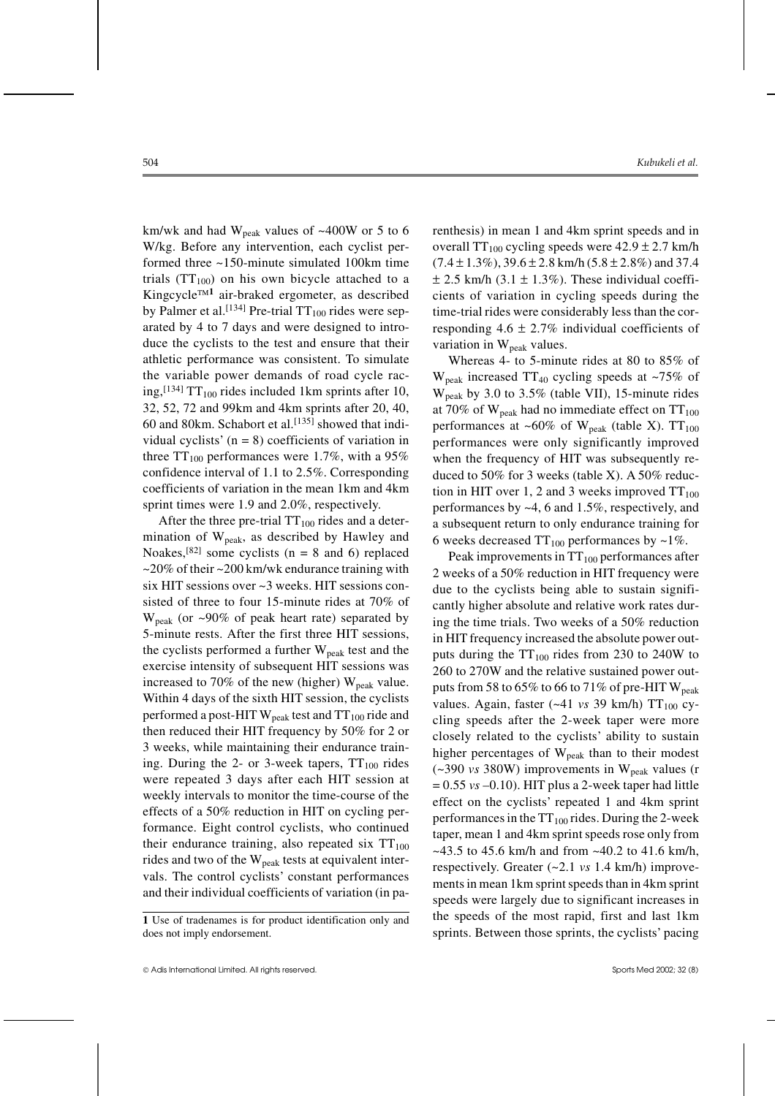km/wk and had  $W_{\text{peak}}$  values of ~400W or 5 to 6 W/kg. Before any intervention, each cyclist performed three ~150-minute simulated 100km time trials  $(TT_{100})$  on his own bicycle attached to a Kingcycle**<sup>1</sup>** air-braked ergometer, as described by Palmer et al.<sup>[134]</sup> Pre-trial  $TT_{100}$  rides were separated by 4 to 7 days and were designed to introduce the cyclists to the test and ensure that their athletic performance was consistent. To simulate the variable power demands of road cycle racing,<sup>[134]</sup> TT<sub>100</sub> rides included 1km sprints after 10, 32, 52, 72 and 99km and 4km sprints after 20, 40, 60 and 80km. Schabort et al.<sup>[135]</sup> showed that individual cyclists'  $(n = 8)$  coefficients of variation in three  $TT_{100}$  performances were 1.7%, with a 95% confidence interval of 1.1 to 2.5%. Corresponding coefficients of variation in the mean 1km and 4km sprint times were 1.9 and 2.0%, respectively.

After the three pre-trial  $TT_{100}$  rides and a determination of  $W_{peak}$ , as described by Hawley and Noakes,  $[82]$  some cyclists (n = 8 and 6) replaced  $\approx$  20% of their  $\approx$  200 km/wk endurance training with six HIT sessions over ~3 weeks. HIT sessions consisted of three to four 15-minute rides at 70% of  $W_{peak}$  (or ~90% of peak heart rate) separated by 5-minute rests. After the first three HIT sessions, the cyclists performed a further  $W_{peak}$  test and the exercise intensity of subsequent HIT sessions was increased to 70% of the new (higher)  $W_{peak}$  value. Within 4 days of the sixth HIT session, the cyclists performed a post-HIT  $W_{peak}$  test and  $TT_{100}$  ride and then reduced their HIT frequency by 50% for 2 or 3 weeks, while maintaining their endurance training. During the 2- or 3-week tapers,  $TT_{100}$  rides were repeated 3 days after each HIT session at weekly intervals to monitor the time-course of the effects of a 50% reduction in HIT on cycling performance. Eight control cyclists, who continued their endurance training, also repeated six  $TT_{100}$ rides and two of the  $W_{peak}$  tests at equivalent intervals. The control cyclists' constant performances and their individual coefficients of variation (in parenthesis) in mean 1 and 4km sprint speeds and in overall  $TT_{100}$  cycling speeds were  $42.9 \pm 2.7$  km/h  $(7.4 \pm 1.3\%)$ ,  $39.6 \pm 2.8$  km/h $(5.8 \pm 2.8\%)$  and 37.4  $\pm$  2.5 km/h (3.1  $\pm$  1.3%). These individual coefficients of variation in cycling speeds during the time-trial rides were considerably less than the corresponding  $4.6 \pm 2.7\%$  individual coefficients of variation in  $W_{peak}$  values.

Whereas 4- to 5-minute rides at 80 to 85% of  $W_{peak}$  increased TT<sub>40</sub> cycling speeds at ~75% of Wpeak by 3.0 to 3.5% (table VII), 15-minute rides at 70% of  $W_{peak}$  had no immediate effect on  $TT_{100}$ performances at ~60% of  $W_{peak}$  (table X).  $TT_{100}$ performances were only significantly improved when the frequency of HIT was subsequently reduced to 50% for 3 weeks (table X). A 50% reduction in HIT over 1, 2 and 3 weeks improved  $TT_{100}$ performances by ~4, 6 and 1.5%, respectively, and a subsequent return to only endurance training for 6 weeks decreased  $TT_{100}$  performances by ~1%.

Peak improvements in  $TT_{100}$  performances after 2 weeks of a 50% reduction in HIT frequency were due to the cyclists being able to sustain significantly higher absolute and relative work rates during the time trials. Two weeks of a 50% reduction in HIT frequency increased the absolute power outputs during the  $TT_{100}$  rides from 230 to 240W to 260 to 270W and the relative sustained power outputs from 58 to 65% to 66 to 71% of pre-HIT  $W_{\text{peak}}$ values. Again, faster  $(-41 \text{ vs } 39 \text{ km/h})$  TT<sub>100</sub> cycling speeds after the 2-week taper were more closely related to the cyclists' ability to sustain higher percentages of  $W_{peak}$  than to their modest  $(-390 \text{ vs } 380 \text{W})$  improvements in W<sub>peak</sub> values (r  $= 0.55$  *vs*  $-0.10$ ). HIT plus a 2-week taper had little effect on the cyclists' repeated 1 and 4km sprint performances in the  $TT_{100}$  rides. During the 2-week taper, mean 1 and 4km sprint speeds rose only from  $\sim$ 43.5 to 45.6 km/h and from  $\sim$ 40.2 to 41.6 km/h, respectively. Greater (~2.1 *vs* 1.4 km/h) improvements in mean 1km sprint speeds than in 4km sprint speeds were largely due to significant increases in the speeds of the most rapid, first and last 1km sprints. Between those sprints, the cyclists' pacing

**<sup>1</sup>** Use of tradenames is for product identification only and does not imply endorsement.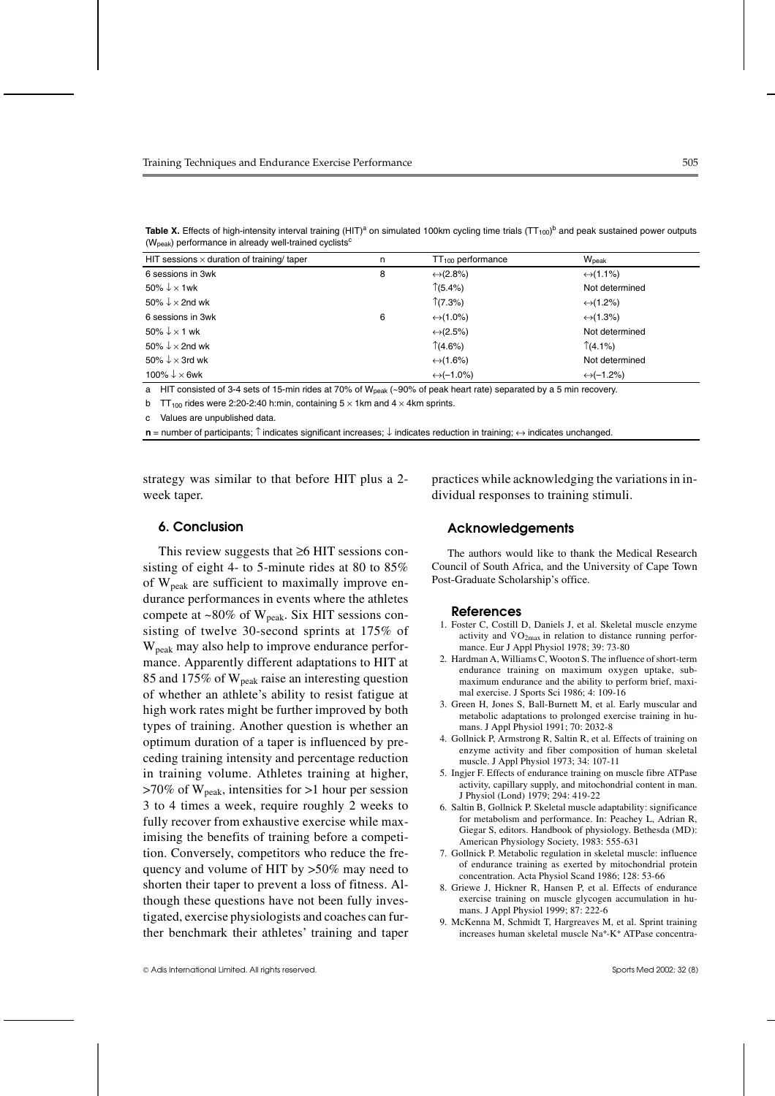| HIT sessions $\times$ duration of training/ taper | n | $TT100$ performance       | W <sub>peak</sub>         |
|---------------------------------------------------|---|---------------------------|---------------------------|
| 6 sessions in 3wk                                 | 8 | $\leftrightarrow$ (2.8%)  | $\leftrightarrow$ (1.1%)  |
| 50% $\downarrow \times$ 1wk                       |   | $\uparrow$ (5.4%)         | Not determined            |
| 50% $\downarrow$ × 2nd wk                         |   | (7.3%)                    | $\leftrightarrow$ (1.2%)  |
| 6 sessions in 3wk                                 | 6 | $\leftrightarrow$ (1.0%)  | $\leftrightarrow$ (1.3%)  |
| 50% $\downarrow \times$ 1 wk                      |   | $\leftrightarrow$ (2.5%)  | Not determined            |
| 50% $\downarrow$ $\times$ 2nd wk                  |   | (4.6%)                    | $\uparrow$ (4.1%)         |
| 50% $\downarrow \times$ 3rd wk                    |   | $\leftrightarrow$ (1.6%)  | Not determined            |
| 100% $\downarrow \times$ 6wk                      |   | $\leftrightarrow$ (-1.0%) | $\leftrightarrow$ (-1.2%) |

Table X. Effects of high-intensity interval training (HIT)<sup>a</sup> on simulated 100km cycling time trials (TT<sub>100</sub>)<sup>b</sup> and peak sustained power outputs ( $W<sub>peak</sub>$ ) performance in already well-trained cyclists<sup>c</sup>

a HIT consisted of 3-4 sets of 15-min rides at 70% of W<sub>peak</sub> (~90% of peak heart rate) separated by a 5 min recovery.

b TT<sub>100</sub> rides were 2:20-2:40 h:min, containing  $5 \times 1$ km and  $4 \times 4$ km sprints.

c Values are unpublished data.

**n** = number of participants; ↑ indicates significant increases; ↓ indicates reduction in training;  $\leftrightarrow$  indicates unchanged.

strategy was similar to that before HIT plus a 2 week taper.

#### **6. Conclusion**

This review suggests that ≥6 HIT sessions consisting of eight 4- to 5-minute rides at 80 to 85% of  $W_{peak}$  are sufficient to maximally improve endurance performances in events where the athletes compete at  $\sim 80\%$  of W<sub>peak</sub>. Six HIT sessions consisting of twelve 30-second sprints at 175% of  $W<sub>peak</sub>$  may also help to improve endurance performance. Apparently different adaptations to HIT at 85 and 175% of  $W_{peak}$  raise an interesting question of whether an athlete's ability to resist fatigue at high work rates might be further improved by both types of training. Another question is whether an optimum duration of a taper is influenced by preceding training intensity and percentage reduction in training volume. Athletes training at higher,  $>70\%$  of W<sub>peak</sub>, intensities for  $>1$  hour per session 3 to 4 times a week, require roughly 2 weeks to fully recover from exhaustive exercise while maximising the benefits of training before a competition. Conversely, competitors who reduce the frequency and volume of HIT by >50% may need to shorten their taper to prevent a loss of fitness. Although these questions have not been fully investigated, exercise physiologists and coaches can further benchmark their athletes' training and taper practices while acknowledging the variations in individual responses to training stimuli.

#### **Acknowledgements**

The authors would like to thank the Medical Research Council of South Africa, and the University of Cape Town Post-Graduate Scholarship's office.

#### **References**

- 1. Foster C, Costill D, Daniels J, et al. Skeletal muscle enzyme activity and  $\dot{V}O_{2max}$  in relation to distance running performance. Eur J Appl Physiol 1978; 39: 73-80
- 2. Hardman A, Williams C, Wooton S. The influence of short-term endurance training on maximum oxygen uptake, submaximum endurance and the ability to perform brief, maximal exercise. J Sports Sci 1986; 4: 109-16
- 3. Green H, Jones S, Ball-Burnett M, et al. Early muscular and metabolic adaptations to prolonged exercise training in humans. J Appl Physiol 1991; 70: 2032-8
- 4. Gollnick P, Armstrong R, Saltin R, et al. Effects of training on enzyme activity and fiber composition of human skeletal muscle. J Appl Physiol 1973; 34: 107-11
- 5. Ingjer F. Effects of endurance training on muscle fibre ATPase activity, capillary supply, and mitochondrial content in man. J Physiol (Lond) 1979; 294: 419-22
- 6. Saltin B, Gollnick P. Skeletal muscle adaptability: significance for metabolism and performance. In: Peachey L, Adrian R, Giegar S, editors. Handbook of physiology. Bethesda (MD): American Physiology Society, 1983: 555-631
- 7. Gollnick P. Metabolic regulation in skeletal muscle: influence of endurance training as exerted by mitochondrial protein concentration. Acta Physiol Scand 1986; 128: 53-66
- 8. Griewe J, Hickner R, Hansen P, et al. Effects of endurance exercise training on muscle glycogen accumulation in humans. J Appl Physiol 1999; 87: 222-6
- 9. McKenna M, Schmidt T, Hargreaves M, et al. Sprint training increases human skeletal muscle Na+-K+ ATPase concentra-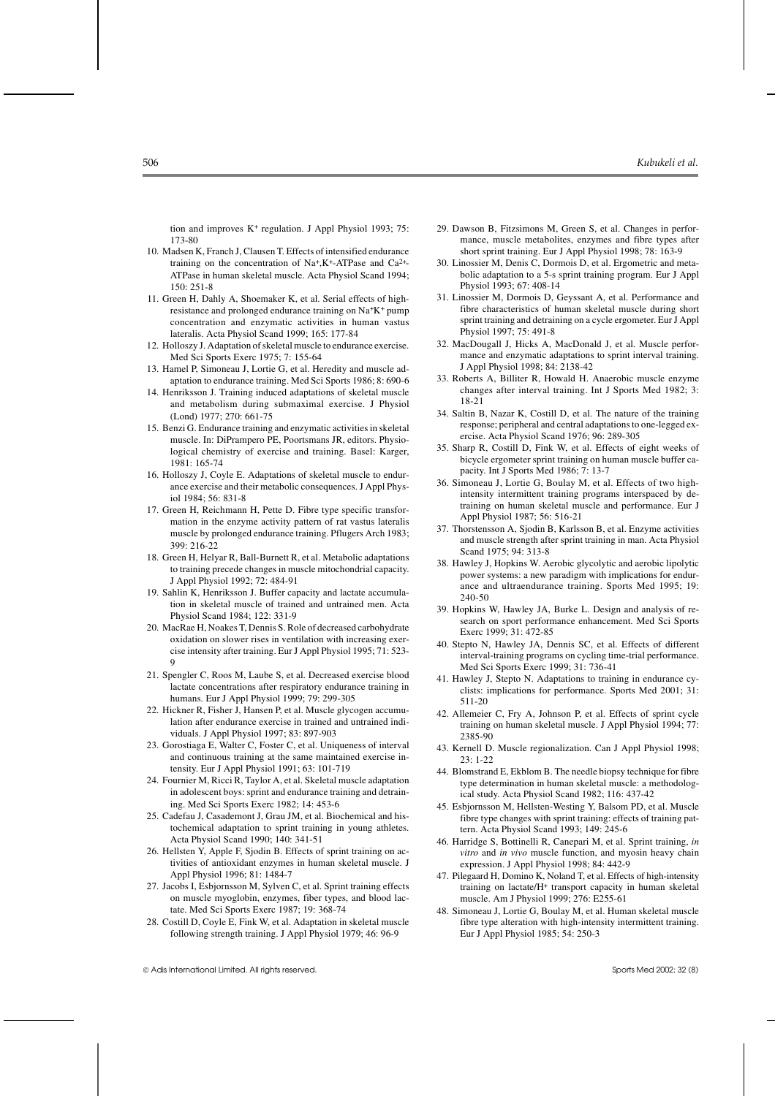tion and improves  $K^+$  regulation. J Appl Physiol 1993: 75: 173-80

- 10. Madsen K, Franch J, Clausen T. Effects of intensified endurance training on the concentration of Na+,K+-ATPase and Ca2+- ATPase in human skeletal muscle. Acta Physiol Scand 1994;  $150 \cdot 251 - 8$
- 11. Green H, Dahly A, Shoemaker K, et al. Serial effects of highresistance and prolonged endurance training on Na+K+ pump concentration and enzymatic activities in human vastus lateralis. Acta Physiol Scand 1999; 165: 177-84
- 12. Holloszy J. Adaptation of skeletal muscle to endurance exercise. Med Sci Sports Exerc 1975; 7: 155-64
- 13. Hamel P, Simoneau J, Lortie G, et al. Heredity and muscle adaptation to endurance training. Med Sci Sports 1986; 8: 690-6
- 14. Henriksson J. Training induced adaptations of skeletal muscle and metabolism during submaximal exercise. J Physiol (Lond) 1977; 270: 661-75
- 15. Benzi G. Endurance training and enzymatic activities in skeletal muscle. In: DiPrampero PE, Poortsmans JR, editors. Physiological chemistry of exercise and training. Basel: Karger, 1981: 165-74
- 16. Holloszy J, Coyle E. Adaptations of skeletal muscle to endurance exercise and their metabolic consequences. J Appl Physiol 1984; 56: 831-8
- 17. Green H, Reichmann H, Pette D. Fibre type specific transformation in the enzyme activity pattern of rat vastus lateralis muscle by prolonged endurance training. Pflugers Arch 1983; 399: 216-22
- 18. Green H, Helyar R, Ball-Burnett R, et al. Metabolic adaptations to training precede changes in muscle mitochondrial capacity. J Appl Physiol 1992; 72: 484-91
- 19. Sahlin K, Henriksson J. Buffer capacity and lactate accumulation in skeletal muscle of trained and untrained men. Acta Physiol Scand 1984; 122: 331-9
- 20. MacRae H, Noakes T, Dennis S. Role of decreased carbohydrate oxidation on slower rises in ventilation with increasing exercise intensity after training. Eur J Appl Physiol 1995; 71: 523- 9
- 21. Spengler C, Roos M, Laube S, et al. Decreased exercise blood lactate concentrations after respiratory endurance training in humans. Eur J Appl Physiol 1999; 79: 299-305
- 22. Hickner R, Fisher J, Hansen P, et al. Muscle glycogen accumulation after endurance exercise in trained and untrained individuals. J Appl Physiol 1997; 83: 897-903
- 23. Gorostiaga E, Walter C, Foster C, et al. Uniqueness of interval and continuous training at the same maintained exercise intensity. Eur J Appl Physiol 1991; 63: 101-719
- 24. Fournier M, Ricci R, Taylor A, et al. Skeletal muscle adaptation in adolescent boys: sprint and endurance training and detraining. Med Sci Sports Exerc 1982; 14: 453-6
- 25. Cadefau J, Casademont J, Grau JM, et al. Biochemical and histochemical adaptation to sprint training in young athletes. Acta Physiol Scand 1990; 140: 341-51
- 26. Hellsten Y, Apple F, Sjodin B. Effects of sprint training on activities of antioxidant enzymes in human skeletal muscle. J Appl Physiol 1996; 81: 1484-7
- 27. Jacobs I, Esbjornsson M, Sylven C, et al. Sprint training effects on muscle myoglobin, enzymes, fiber types, and blood lactate. Med Sci Sports Exerc 1987; 19: 368-74
- 28. Costill D, Coyle E, Fink W, et al. Adaptation in skeletal muscle following strength training. J Appl Physiol 1979; 46: 96-9
- 29. Dawson B, Fitzsimons M, Green S, et al. Changes in performance, muscle metabolites, enzymes and fibre types after short sprint training. Eur J Appl Physiol 1998; 78: 163-9
- 30. Linossier M, Denis C, Dormois D, et al. Ergometric and metabolic adaptation to a 5-s sprint training program. Eur J Appl Physiol 1993; 67: 408-14
- 31. Linossier M, Dormois D, Geyssant A, et al. Performance and fibre characteristics of human skeletal muscle during short sprint training and detraining on a cycle ergometer. Eur J Appl Physiol 1997; 75: 491-8
- 32. MacDougall J, Hicks A, MacDonald J, et al. Muscle performance and enzymatic adaptations to sprint interval training. J Appl Physiol 1998; 84: 2138-42
- 33. Roberts A, Billiter R, Howald H. Anaerobic muscle enzyme changes after interval training. Int J Sports Med 1982; 3: 18-21
- 34. Saltin B, Nazar K, Costill D, et al. The nature of the training response; peripheral and central adaptations to one-legged exercise. Acta Physiol Scand 1976; 96: 289-305
- 35. Sharp R, Costill D, Fink W, et al. Effects of eight weeks of bicycle ergometer sprint training on human muscle buffer capacity. Int J Sports Med 1986; 7: 13-7
- 36. Simoneau J, Lortie G, Boulay M, et al. Effects of two highintensity intermittent training programs interspaced by detraining on human skeletal muscle and performance. Eur J Appl Physiol 1987; 56: 516-21
- 37. Thorstensson A, Sjodin B, Karlsson B, et al. Enzyme activities and muscle strength after sprint training in man. Acta Physiol Scand 1975; 94: 313-8
- 38. Hawley J, Hopkins W. Aerobic glycolytic and aerobic lipolytic power systems: a new paradigm with implications for endurance and ultraendurance training. Sports Med 1995; 19: 240-50
- 39. Hopkins W, Hawley JA, Burke L. Design and analysis of research on sport performance enhancement. Med Sci Sports Exerc 1999; 31: 472-85
- 40. Stepto N, Hawley JA, Dennis SC, et al. Effects of different interval-training programs on cycling time-trial performance. Med Sci Sports Exerc 1999; 31: 736-41
- 41. Hawley J, Stepto N. Adaptations to training in endurance cyclists: implications for performance. Sports Med 2001; 31: 511-20
- 42. Allemeier C, Fry A, Johnson P, et al. Effects of sprint cycle training on human skeletal muscle. J Appl Physiol 1994; 77: 2385-90
- 43. Kernell D. Muscle regionalization. Can J Appl Physiol 1998; 23: 1-22
- 44. Blomstrand E, Ekblom B. The needle biopsy technique for fibre type determination in human skeletal muscle: a methodological study. Acta Physiol Scand 1982; 116: 437-42
- 45. Esbjornsson M, Hellsten-Westing Y, Balsom PD, et al. Muscle fibre type changes with sprint training: effects of training pattern. Acta Physiol Scand 1993; 149: 245-6
- 46. Harridge S, Bottinelli R, Canepari M, et al. Sprint training, *in vitro* and *in vivo* muscle function, and myosin heavy chain expression. J Appl Physiol 1998; 84: 442-9
- 47. Pilegaard H, Domino K, Noland T, et al. Effects of high-intensity training on lactate/H+ transport capacity in human skeletal muscle. Am J Physiol 1999; 276: E255-61
- 48. Simoneau J, Lortie G, Boulay M, et al. Human skeletal muscle fibre type alteration with high-intensity intermittent training. Eur J Appl Physiol 1985; 54: 250-3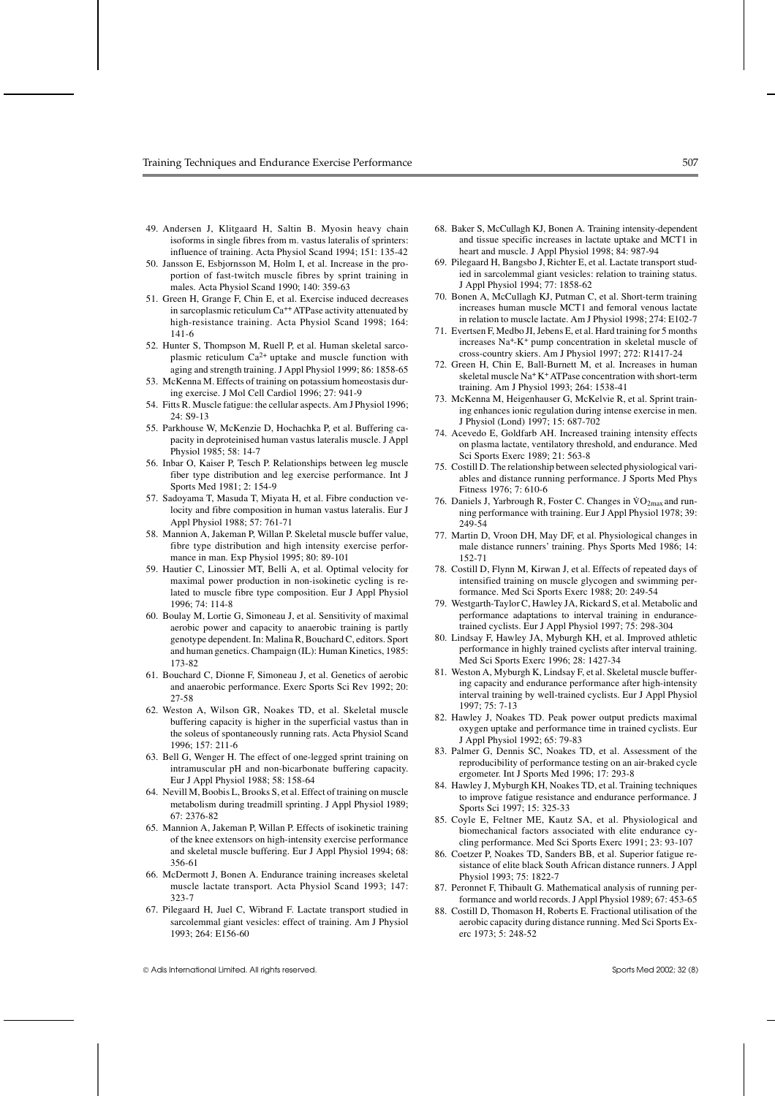- 49. Andersen J, Klitgaard H, Saltin B. Myosin heavy chain isoforms in single fibres from m. vastus lateralis of sprinters: influence of training. Acta Physiol Scand 1994; 151: 135-42
- 50. Jansson E, Esbjornsson M, Holm I, et al. Increase in the proportion of fast-twitch muscle fibres by sprint training in males. Acta Physiol Scand 1990; 140: 359-63
- 51. Green H, Grange F, Chin E, et al. Exercise induced decreases in sarcoplasmic reticulum Ca<sup>++</sup> ATPase activity attenuated by high-resistance training. Acta Physiol Scand 1998; 164: 141-6
- 52. Hunter S, Thompson M, Ruell P, et al. Human skeletal sarcoplasmic reticulum Ca2+ uptake and muscle function with aging and strength training. J Appl Physiol 1999; 86: 1858-65
- 53. McKenna M. Effects of training on potassium homeostasis during exercise. J Mol Cell Cardiol 1996; 27: 941-9
- 54. Fitts R. Muscle fatigue: the cellular aspects. Am J Physiol 1996; 24: S9-13
- 55. Parkhouse W, McKenzie D, Hochachka P, et al. Buffering capacity in deproteinised human vastus lateralis muscle. J Appl Physiol 1985; 58: 14-7
- 56. Inbar O, Kaiser P, Tesch P. Relationships between leg muscle fiber type distribution and leg exercise performance. Int J Sports Med 1981; 2: 154-9
- 57. Sadoyama T, Masuda T, Miyata H, et al. Fibre conduction velocity and fibre composition in human vastus lateralis. Eur J Appl Physiol 1988; 57: 761-71
- 58. Mannion A, Jakeman P, Willan P. Skeletal muscle buffer value, fibre type distribution and high intensity exercise performance in man. Exp Physiol 1995; 80: 89-101
- 59. Hautier C, Linossier MT, Belli A, et al. Optimal velocity for maximal power production in non-isokinetic cycling is related to muscle fibre type composition. Eur J Appl Physiol 1996; 74: 114-8
- 60. Boulay M, Lortie G, Simoneau J, et al. Sensitivity of maximal aerobic power and capacity to anaerobic training is partly genotype dependent. In: Malina R, Bouchard C, editors. Sport and human genetics. Champaign (IL): Human Kinetics, 1985: 173-82
- 61. Bouchard C, Dionne F, Simoneau J, et al. Genetics of aerobic and anaerobic performance. Exerc Sports Sci Rev 1992; 20: 27-58
- 62. Weston A, Wilson GR, Noakes TD, et al. Skeletal muscle buffering capacity is higher in the superficial vastus than in the soleus of spontaneously running rats. Acta Physiol Scand 1996; 157: 211-6
- 63. Bell G, Wenger H. The effect of one-legged sprint training on intramuscular pH and non-bicarbonate buffering capacity. Eur J Appl Physiol 1988; 58: 158-64
- 64. Nevill M, Boobis L, Brooks S, et al. Effect of training on muscle metabolism during treadmill sprinting. J Appl Physiol 1989; 67: 2376-82
- 65. Mannion A, Jakeman P, Willan P. Effects of isokinetic training of the knee extensors on high-intensity exercise performance and skeletal muscle buffering. Eur J Appl Physiol 1994; 68: 356-61
- 66. McDermott J, Bonen A. Endurance training increases skeletal muscle lactate transport. Acta Physiol Scand 1993; 147: 323-7
- 67. Pilegaard H, Juel C, Wibrand F. Lactate transport studied in sarcolemmal giant vesicles: effect of training. Am J Physiol 1993; 264: E156-60
- 68. Baker S, McCullagh KJ, Bonen A. Training intensity-dependent and tissue specific increases in lactate uptake and MCT1 in heart and muscle. J Appl Physiol 1998; 84: 987-94
- 69. Pilegaard H, Bangsbo J, Richter E, et al. Lactate transport studied in sarcolemmal giant vesicles: relation to training status. J Appl Physiol 1994; 77: 1858-62
- 70. Bonen A, McCullagh KJ, Putman C, et al. Short-term training increases human muscle MCT1 and femoral venous lactate in relation to muscle lactate. Am J Physiol 1998; 274: E102-7
- 71. Evertsen F, Medbo JI, Jebens E, et al. Hard training for 5 months increases Na+-K+ pump concentration in skeletal muscle of cross-country skiers. Am J Physiol 1997; 272: R1417-24
- 72. Green H, Chin E, Ball-Burnett M, et al. Increases in human skeletal muscle Na+ K+ATPase concentration with short-term training. Am J Physiol 1993; 264: 1538-41
- 73. McKenna M, Heigenhauser G, McKelvie R, et al. Sprint training enhances ionic regulation during intense exercise in men. J Physiol (Lond) 1997; 15: 687-702
- 74. Acevedo E, Goldfarb AH. Increased training intensity effects on plasma lactate, ventilatory threshold, and endurance. Med Sci Sports Exerc 1989; 21: 563-8
- 75. Costill D. The relationship between selected physiological variables and distance running performance. J Sports Med Phys Fitness 1976; 7: 610-6
- 76. Daniels J, Yarbrough R, Foster C. Changes in  $\sqrt[3]{O_{2max}}$  and running performance with training. Eur J Appl Physiol 1978; 39: 249-54
- 77. Martin D, Vroon DH, May DF, et al. Physiological changes in male distance runners' training. Phys Sports Med 1986; 14: 152-71
- 78. Costill D, Flynn M, Kirwan J, et al. Effects of repeated days of intensified training on muscle glycogen and swimming performance. Med Sci Sports Exerc 1988; 20: 249-54
- 79. Westgarth-Taylor C, Hawley JA, Rickard S, et al. Metabolic and performance adaptations to interval training in endurancetrained cyclists. Eur J Appl Physiol 1997; 75: 298-304
- 80. Lindsay F, Hawley JA, Myburgh KH, et al. Improved athletic performance in highly trained cyclists after interval training. Med Sci Sports Exerc 1996; 28: 1427-34
- 81. Weston A, Myburgh K, Lindsay F, et al. Skeletal muscle buffering capacity and endurance performance after high-intensity interval training by well-trained cyclists. Eur J Appl Physiol 1997; 75: 7-13
- 82. Hawley J, Noakes TD. Peak power output predicts maximal oxygen uptake and performance time in trained cyclists. Eur J Appl Physiol 1992; 65: 79-83
- 83. Palmer G, Dennis SC, Noakes TD, et al. Assessment of the reproducibility of performance testing on an air-braked cycle ergometer. Int J Sports Med 1996; 17: 293-8
- 84. Hawley J, Myburgh KH, Noakes TD, et al. Training techniques to improve fatigue resistance and endurance performance. J Sports Sci 1997; 15: 325-33
- 85. Coyle E, Feltner ME, Kautz SA, et al. Physiological and biomechanical factors associated with elite endurance cycling performance. Med Sci Sports Exerc 1991; 23: 93-107
- 86. Coetzer P, Noakes TD, Sanders BB, et al. Superior fatigue resistance of elite black South African distance runners. J Appl Physiol 1993; 75: 1822-7
- 87. Peronnet F, Thibault G. Mathematical analysis of running performance and world records. J Appl Physiol 1989; 67: 453-65
- 88. Costill D, Thomason H, Roberts E. Fractional utilisation of the aerobic capacity during distance running. Med Sci Sports Exerc 1973; 5: 248-52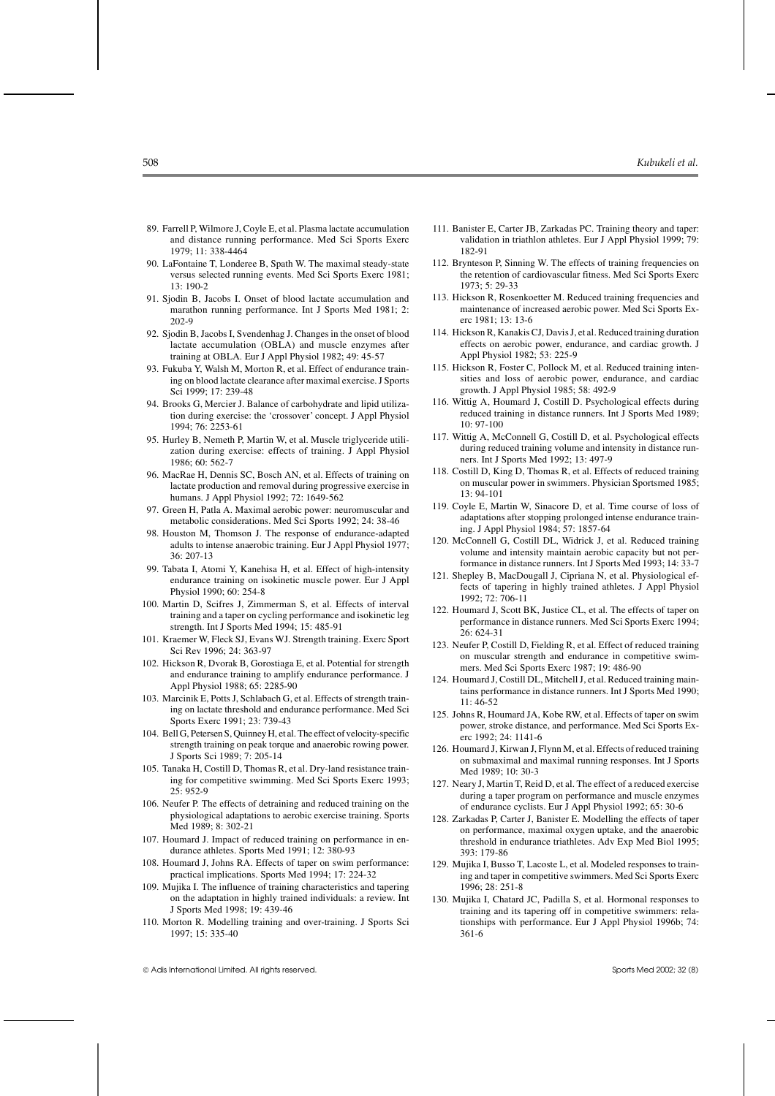- 89. Farrell P, Wilmore J, Coyle E, et al. Plasma lactate accumulation and distance running performance. Med Sci Sports Exerc 1979; 11: 338-4464
- 90. LaFontaine T, Londeree B, Spath W. The maximal steady-state versus selected running events. Med Sci Sports Exerc 1981; 13: 190-2
- 91. Sjodin B, Jacobs I. Onset of blood lactate accumulation and marathon running performance. Int J Sports Med 1981; 2: 202-9
- 92. Sjodin B, Jacobs I, Svendenhag J. Changes in the onset of blood lactate accumulation (OBLA) and muscle enzymes after training at OBLA. Eur J Appl Physiol 1982; 49: 45-57
- 93. Fukuba Y, Walsh M, Morton R, et al. Effect of endurance training on blood lactate clearance after maximal exercise. J Sports Sci 1999; 17: 239-48
- 94. Brooks G, Mercier J. Balance of carbohydrate and lipid utilization during exercise: the 'crossover' concept. J Appl Physiol 1994; 76: 2253-61
- 95. Hurley B, Nemeth P, Martin W, et al. Muscle triglyceride utilization during exercise: effects of training. J Appl Physiol 1986; 60: 562-7
- 96. MacRae H, Dennis SC, Bosch AN, et al. Effects of training on lactate production and removal during progressive exercise in humans. J Appl Physiol 1992; 72: 1649-562
- 97. Green H, Patla A. Maximal aerobic power: neuromuscular and metabolic considerations. Med Sci Sports 1992; 24: 38-46
- 98. Houston M, Thomson J. The response of endurance-adapted adults to intense anaerobic training. Eur J Appl Physiol 1977; 36: 207-13
- 99. Tabata I, Atomi Y, Kanehisa H, et al. Effect of high-intensity endurance training on isokinetic muscle power. Eur J Appl Physiol 1990; 60: 254-8
- 100. Martin D, Scifres J, Zimmerman S, et al. Effects of interval training and a taper on cycling performance and isokinetic leg strength. Int J Sports Med 1994; 15: 485-91
- 101. Kraemer W, Fleck SJ, Evans WJ. Strength training. Exerc Sport Sci Rev 1996; 24: 363-97
- 102. Hickson R, Dvorak B, Gorostiaga E, et al. Potential for strength and endurance training to amplify endurance performance. J Appl Physiol 1988; 65: 2285-90
- 103. Marcinik E, Potts J, Schlabach G, et al. Effects of strength training on lactate threshold and endurance performance. Med Sci Sports Exerc 1991; 23: 739-43
- 104. Bell G, Petersen S, Quinney H, et al. The effect of velocity-specific strength training on peak torque and anaerobic rowing power. J Sports Sci 1989; 7: 205-14
- 105. Tanaka H, Costill D, Thomas R, et al. Dry-land resistance training for competitive swimming. Med Sci Sports Exerc 1993; 25: 952-9
- 106. Neufer P. The effects of detraining and reduced training on the physiological adaptations to aerobic exercise training. Sports Med 1989; 8: 302-21
- 107. Houmard J. Impact of reduced training on performance in endurance athletes. Sports Med 1991; 12: 380-93
- 108. Houmard J, Johns RA. Effects of taper on swim performance: practical implications. Sports Med 1994; 17: 224-32
- 109. Mujika I. The influence of training characteristics and tapering on the adaptation in highly trained individuals: a review. Int J Sports Med 1998; 19: 439-46
- 110. Morton R. Modelling training and over-training. J Sports Sci 1997; 15: 335-40
- 111. Banister E, Carter JB, Zarkadas PC. Training theory and taper: validation in triathlon athletes. Eur J Appl Physiol 1999; 79: 182-91
- 112. Brynteson P, Sinning W. The effects of training frequencies on the retention of cardiovascular fitness. Med Sci Sports Exerc 1973; 5: 29-33
- 113. Hickson R, Rosenkoetter M. Reduced training frequencies and maintenance of increased aerobic power. Med Sci Sports Exerc 1981; 13: 13-6
- 114. Hickson R, Kanakis CJ, Davis J, et al. Reduced training duration effects on aerobic power, endurance, and cardiac growth. J Appl Physiol 1982; 53: 225-9
- 115. Hickson R, Foster C, Pollock M, et al. Reduced training intensities and loss of aerobic power, endurance, and cardiac growth. J Appl Physiol 1985; 58: 492-9
- 116. Wittig A, Houmard J, Costill D. Psychological effects during reduced training in distance runners. Int J Sports Med 1989; 10: 97-100
- 117. Wittig A, McConnell G, Costill D, et al. Psychological effects during reduced training volume and intensity in distance runners. Int J Sports Med 1992; 13: 497-9
- 118. Costill D, King D, Thomas R, et al. Effects of reduced training on muscular power in swimmers. Physician Sportsmed 1985; 13: 94-101
- 119. Coyle E, Martin W, Sinacore D, et al. Time course of loss of adaptations after stopping prolonged intense endurance training. J Appl Physiol 1984; 57: 1857-64
- 120. McConnell G, Costill DL, Widrick J, et al. Reduced training volume and intensity maintain aerobic capacity but not performance in distance runners. Int J Sports Med 1993; 14: 33-7
- 121. Shepley B, MacDougall J, Cipriana N, et al. Physiological effects of tapering in highly trained athletes. J Appl Physiol 1992; 72: 706-11
- 122. Houmard J, Scott BK, Justice CL, et al. The effects of taper on performance in distance runners. Med Sci Sports Exerc 1994; 26: 624-31
- 123. Neufer P, Costill D, Fielding R, et al. Effect of reduced training on muscular strength and endurance in competitive swimmers. Med Sci Sports Exerc 1987; 19: 486-90
- 124. Houmard J, Costill DL, Mitchell J, et al. Reduced training maintains performance in distance runners. Int J Sports Med 1990; 11: 46-52
- 125. Johns R, Houmard JA, Kobe RW, et al. Effects of taper on swim power, stroke distance, and performance. Med Sci Sports Exerc 1992; 24: 1141-6
- 126. Houmard J, Kirwan J, Flynn M, et al. Effects of reduced training on submaximal and maximal running responses. Int J Sports Med 1989; 10: 30-3
- 127. Neary J, Martin T, Reid D, et al. The effect of a reduced exercise during a taper program on performance and muscle enzymes of endurance cyclists. Eur J Appl Physiol 1992; 65: 30-6
- 128. Zarkadas P, Carter J, Banister E. Modelling the effects of taper on performance, maximal oxygen uptake, and the anaerobic threshold in endurance triathletes. Adv Exp Med Biol 1995; 393: 179-86
- 129. Mujika I, Busso T, Lacoste L, et al. Modeled responses to training and taper in competitive swimmers. Med Sci Sports Exerc 1996; 28: 251-8
- 130. Mujika I, Chatard JC, Padilla S, et al. Hormonal responses to training and its tapering off in competitive swimmers: relationships with performance. Eur J Appl Physiol 1996b; 74: 361-6